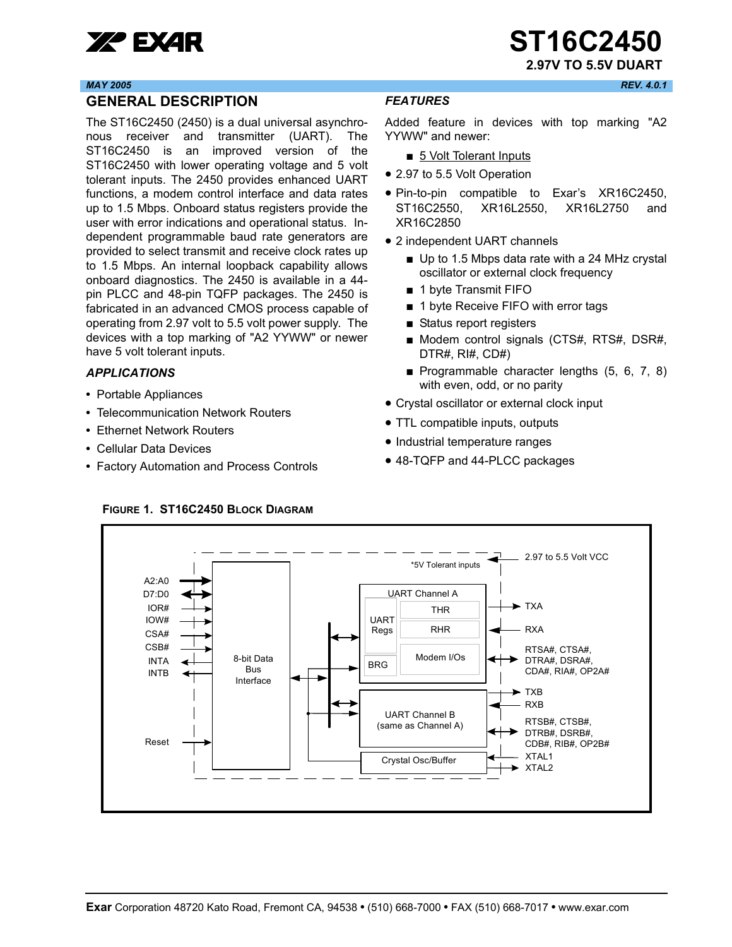

#### *MAY 2005 REV. 4.0.1*

### <span id="page-0-0"></span>**GENERAL DESCRIPTION**

The ST16C2450 (2450) is a dual universal asynchronous receiver and transmitter (UART). The ST16C2450 is an improved version of the ST16C2450 with lower operating voltage and 5 volt tolerant inputs. The 2450 provides enhanced UART functions, a modem control interface and data rates up to 1.5 Mbps. Onboard status registers provide the user with error indications and operational status. Independent programmable baud rate generators are provided to select transmit and receive clock rates up to 1.5 Mbps. An internal loopback capability allows onboard diagnostics. The 2450 is available in a 44 pin PLCC and 48-pin TQFP packages. The 2450 is fabricated in an advanced CMOS process capable of operating from 2.97 volt to 5.5 volt power supply. The devices with a top marking of "A2 YYWW" or newer have 5 volt tolerant inputs.

#### <span id="page-0-1"></span>*APPLICATIONS*

- **•** Portable Appliances
- **•** Telecommunication Network Routers
- **•** Ethernet Network Routers
- **•** Cellular Data Devices
- **•** Factory Automation and Process Controls

### <span id="page-0-2"></span>*FEATURES*

Added feature in devices with top marking "A2 YYWW" and newer:

- 5 Volt Tolerant Inputs
- 2.97 to 5.5 Volt Operation
- Pin-to-pin compatible to Exar's XR16C2450, ST16C2550, XR16L2550, XR16L2750 and XR16C2850
- 2 independent UART channels
	- Up to 1.5 Mbps data rate with a 24 MHz crystal oscillator or external clock frequency
	- 1 byte Transmit FIFO
	- 1 byte Receive FIFO with error tags
	- Status report registers
	- Modem control signals (CTS#, RTS#, DSR#, DTR#, RI#, CD#)
	- Programmable character lengths (5, 6, 7, 8) with even, odd, or no parity
- Crystal oscillator or external clock input
- TTL compatible inputs, outputs
- Industrial temperature ranges
- 48-TQFP and 44-PLCC packages



### <span id="page-0-3"></span>**FIGURE 1. ST16C2450 BLOCK DIAGRAM**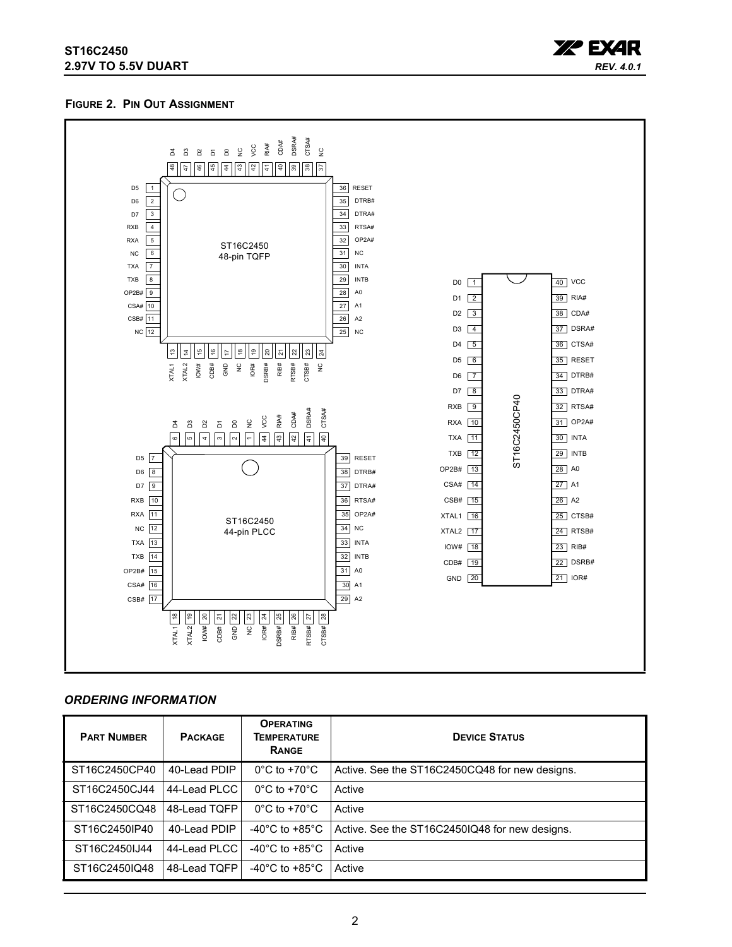### **ST16C2450 2.97V TO 5.5V DUART**



#### <span id="page-1-0"></span>**FIGURE 2. PIN OUT ASSIGNMENT**



#### <span id="page-1-1"></span>*ORDERING INFORMATION*

| <b>PART NUMBER</b> | <b>PACKAGE</b> | <b>OPERATING</b><br>TEMPERATURE<br>RANGE | <b>DEVICE STATUS</b>                           |
|--------------------|----------------|------------------------------------------|------------------------------------------------|
| ST16C2450CP40      | 40-Lead PDIP   | $0^{\circ}$ C to +70 $^{\circ}$ C        | Active. See the ST16C2450CQ48 for new designs. |
| ST16C2450CJ44      | 44-Lead PLCC   | $0^{\circ}$ C to +70 $^{\circ}$ C        | Active                                         |
| ST16C2450CQ48      | 48-Lead TQFP   | $0^{\circ}$ C to +70 $^{\circ}$ C        | Active                                         |
| ST16C2450IP40      | 40-Lead PDIP   | -40 $^{\circ}$ C to +85 $^{\circ}$ C     | Active. See the ST16C2450IQ48 for new designs. |
| ST16C2450IJ44      | 44-Lead PLCC   | -40 $^{\circ}$ C to +85 $^{\circ}$ C     | Active                                         |
| ST16C2450IQ48      | 48-Lead TQFP   | -40 $^{\circ}$ C to +85 $^{\circ}$ C     | Active                                         |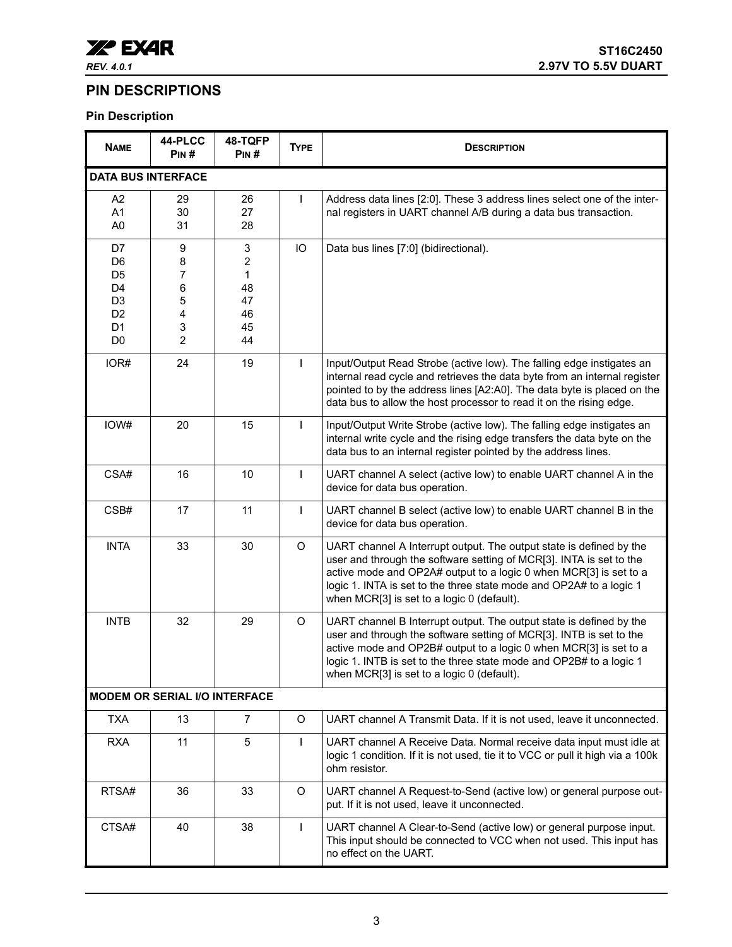

### <span id="page-2-0"></span>**PIN DESCRIPTIONS**

### **Pin Description**

| <b>NAME</b>                                                                                                                      | 44-PLCC<br>PIN#                                   | 48-TQFP<br>PIN#                                        | <b>TYPE</b>  | <b>DESCRIPTION</b>                                                                                                                                                                                                                                                                                                                   |  |
|----------------------------------------------------------------------------------------------------------------------------------|---------------------------------------------------|--------------------------------------------------------|--------------|--------------------------------------------------------------------------------------------------------------------------------------------------------------------------------------------------------------------------------------------------------------------------------------------------------------------------------------|--|
| <b>DATA BUS INTERFACE</b>                                                                                                        |                                                   |                                                        |              |                                                                                                                                                                                                                                                                                                                                      |  |
| A <sub>2</sub><br>A1<br>A <sub>0</sub>                                                                                           | 29<br>30<br>31                                    | 26<br>27<br>28                                         | $\mathbf{I}$ | Address data lines [2:0]. These 3 address lines select one of the inter-<br>nal registers in UART channel A/B during a data bus transaction.                                                                                                                                                                                         |  |
| D7<br>D <sub>6</sub><br>D <sub>5</sub><br>D <sub>4</sub><br>D <sub>3</sub><br>D <sub>2</sub><br>D <sub>1</sub><br>D <sub>0</sub> | 9<br>8<br>7<br>6<br>5<br>4<br>3<br>$\overline{2}$ | 3<br>$\overline{2}$<br>1<br>48<br>47<br>46<br>45<br>44 | IO           | Data bus lines [7:0] (bidirectional).                                                                                                                                                                                                                                                                                                |  |
| IOR#                                                                                                                             | 24                                                | 19                                                     | $\mathbf{I}$ | Input/Output Read Strobe (active low). The falling edge instigates an<br>internal read cycle and retrieves the data byte from an internal register<br>pointed to by the address lines [A2:A0]. The data byte is placed on the<br>data bus to allow the host processor to read it on the rising edge.                                 |  |
| IOW#                                                                                                                             | 20                                                | 15                                                     | $\mathsf{I}$ | Input/Output Write Strobe (active low). The falling edge instigates an<br>internal write cycle and the rising edge transfers the data byte on the<br>data bus to an internal register pointed by the address lines.                                                                                                                  |  |
| CSA#                                                                                                                             | 16                                                | 10                                                     | $\mathbf{I}$ | UART channel A select (active low) to enable UART channel A in the<br>device for data bus operation.                                                                                                                                                                                                                                 |  |
| CSB#                                                                                                                             | 17                                                | 11                                                     | $\mathbf{I}$ | UART channel B select (active low) to enable UART channel B in the<br>device for data bus operation.                                                                                                                                                                                                                                 |  |
| <b>INTA</b>                                                                                                                      | 33                                                | 30                                                     | $\circ$      | UART channel A Interrupt output. The output state is defined by the<br>user and through the software setting of MCR[3]. INTA is set to the<br>active mode and OP2A# output to a logic 0 when MCR[3] is set to a<br>logic 1. INTA is set to the three state mode and OP2A# to a logic 1<br>when MCR[3] is set to a logic 0 (default). |  |
| <b>INTB</b>                                                                                                                      | 32                                                | 29                                                     | O            | UART channel B Interrupt output. The output state is defined by the<br>user and through the software setting of MCR[3]. INTB is set to the<br>active mode and OP2B# output to a logic 0 when MCR[3] is set to a<br>logic 1. INTB is set to the three state mode and OP2B# to a logic 1<br>when MCR[3] is set to a logic 0 (default). |  |
|                                                                                                                                  | <b>MODEM OR SERIAL I/O INTERFACE</b>              |                                                        |              |                                                                                                                                                                                                                                                                                                                                      |  |
| <b>TXA</b>                                                                                                                       | 13                                                | $\overline{7}$                                         | $\circ$      | UART channel A Transmit Data. If it is not used, leave it unconnected.                                                                                                                                                                                                                                                               |  |
| <b>RXA</b>                                                                                                                       | 11                                                | $\sqrt{5}$                                             | $\mathbf{I}$ | UART channel A Receive Data. Normal receive data input must idle at<br>logic 1 condition. If it is not used, tie it to VCC or pull it high via a 100k<br>ohm resistor.                                                                                                                                                               |  |
| RTSA#                                                                                                                            | 36                                                | 33                                                     | $\circ$      | UART channel A Request-to-Send (active low) or general purpose out-<br>put. If it is not used, leave it unconnected.                                                                                                                                                                                                                 |  |
| CTSA#                                                                                                                            | 40                                                | 38                                                     | $\mathbf{I}$ | UART channel A Clear-to-Send (active low) or general purpose input.<br>This input should be connected to VCC when not used. This input has<br>no effect on the UART.                                                                                                                                                                 |  |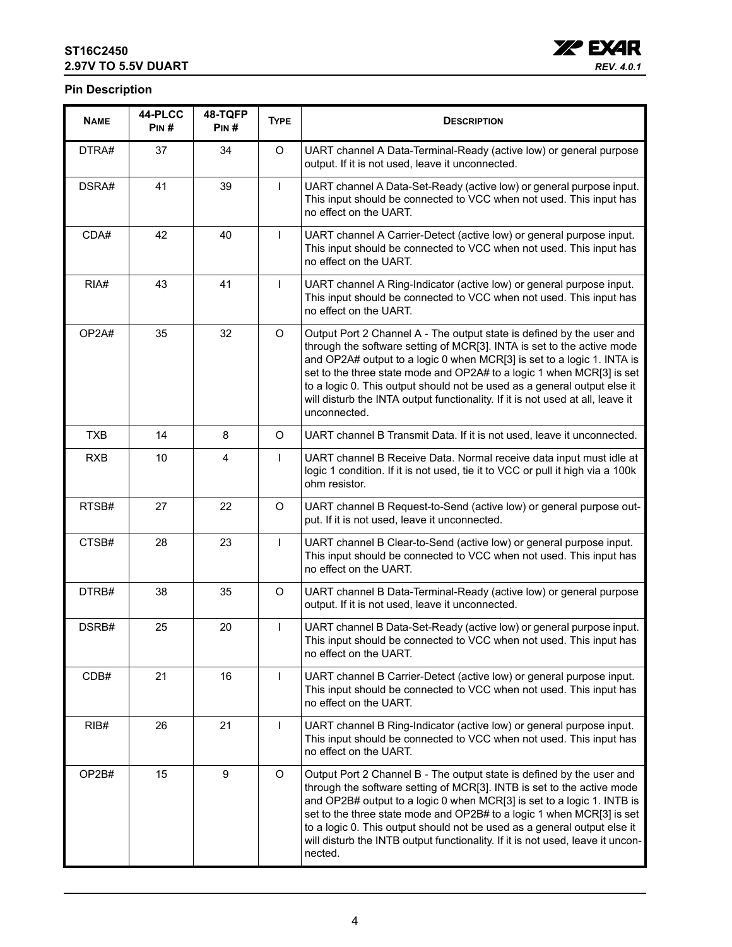### **ST16C2450 2.97V TO 5.5V DUART**



### **Pin Description**

| <b>NAME</b> | 44-PLCC<br>PIN# | 48-TQFP<br>PIN#  | <b>TYPE</b>                                                                                                                                                                 | <b>DESCRIPTION</b>                                                                                                                                                                                                                                                                                                                                                                                                                                                               |  |
|-------------|-----------------|------------------|-----------------------------------------------------------------------------------------------------------------------------------------------------------------------------|----------------------------------------------------------------------------------------------------------------------------------------------------------------------------------------------------------------------------------------------------------------------------------------------------------------------------------------------------------------------------------------------------------------------------------------------------------------------------------|--|
| DTRA#       | 37              | 34               | $\circ$                                                                                                                                                                     | UART channel A Data-Terminal-Ready (active low) or general purpose<br>output. If it is not used, leave it unconnected.                                                                                                                                                                                                                                                                                                                                                           |  |
| DSRA#       | 41              | 39               | $\mathbf{I}$                                                                                                                                                                | UART channel A Data-Set-Ready (active low) or general purpose input.<br>This input should be connected to VCC when not used. This input has<br>no effect on the UART.                                                                                                                                                                                                                                                                                                            |  |
| CDA#        | 42              | 40               | T<br>UART channel A Carrier-Detect (active low) or general purpose input.<br>This input should be connected to VCC when not used. This input has<br>no effect on the UART.  |                                                                                                                                                                                                                                                                                                                                                                                                                                                                                  |  |
| RIA#        | 43              | 41               | T                                                                                                                                                                           | UART channel A Ring-Indicator (active low) or general purpose input.<br>This input should be connected to VCC when not used. This input has<br>no effect on the UART.                                                                                                                                                                                                                                                                                                            |  |
| OP2A#       | 35              | 32               | $\circ$                                                                                                                                                                     | Output Port 2 Channel A - The output state is defined by the user and<br>through the software setting of MCR[3]. INTA is set to the active mode<br>and OP2A# output to a logic 0 when MCR[3] is set to a logic 1. INTA is<br>set to the three state mode and OP2A# to a logic 1 when MCR[3] is set<br>to a logic 0. This output should not be used as a general output else it<br>will disturb the INTA output functionality. If it is not used at all, leave it<br>unconnected. |  |
| <b>TXB</b>  | 14              | 8                | O                                                                                                                                                                           | UART channel B Transmit Data. If it is not used, leave it unconnected.                                                                                                                                                                                                                                                                                                                                                                                                           |  |
| <b>RXB</b>  | 10              | 4                | UART channel B Receive Data. Normal receive data input must idle at<br>ı<br>logic 1 condition. If it is not used, tie it to VCC or pull it high via a 100k<br>ohm resistor. |                                                                                                                                                                                                                                                                                                                                                                                                                                                                                  |  |
| RTSB#       | 27              | 22               | O<br>UART channel B Request-to-Send (active low) or general purpose out-<br>put. If it is not used, leave it unconnected.                                                   |                                                                                                                                                                                                                                                                                                                                                                                                                                                                                  |  |
| CTSB#       | 28              | 23               | $\mathsf{I}$                                                                                                                                                                | UART channel B Clear-to-Send (active low) or general purpose input.<br>This input should be connected to VCC when not used. This input has<br>no effect on the UART.                                                                                                                                                                                                                                                                                                             |  |
| DTRB#       | 38              | 35               | O                                                                                                                                                                           | UART channel B Data-Terminal-Ready (active low) or general purpose<br>output. If it is not used, leave it unconnected.                                                                                                                                                                                                                                                                                                                                                           |  |
| DSRB#       | 25              | 20               | T                                                                                                                                                                           | UART channel B Data-Set-Ready (active low) or general purpose input.<br>This input should be connected to VCC when not used. This input has<br>no effect on the UART.                                                                                                                                                                                                                                                                                                            |  |
| CDB#        | 21              | 16               | T                                                                                                                                                                           | UART channel B Carrier-Detect (active low) or general purpose input.<br>This input should be connected to VCC when not used. This input has<br>no effect on the UART.                                                                                                                                                                                                                                                                                                            |  |
| RIB#        | 26              | 21               | T<br>UART channel B Ring-Indicator (active low) or general purpose input.<br>This input should be connected to VCC when not used. This input has<br>no effect on the UART.  |                                                                                                                                                                                                                                                                                                                                                                                                                                                                                  |  |
| OP2B#       | 15              | $\boldsymbol{9}$ | $\circ$                                                                                                                                                                     | Output Port 2 Channel B - The output state is defined by the user and<br>through the software setting of MCR[3]. INTB is set to the active mode<br>and OP2B# output to a logic 0 when MCR[3] is set to a logic 1. INTB is<br>set to the three state mode and OP2B# to a logic 1 when MCR[3] is set<br>to a logic 0. This output should not be used as a general output else it<br>will disturb the INTB output functionality. If it is not used, leave it uncon-<br>nected.      |  |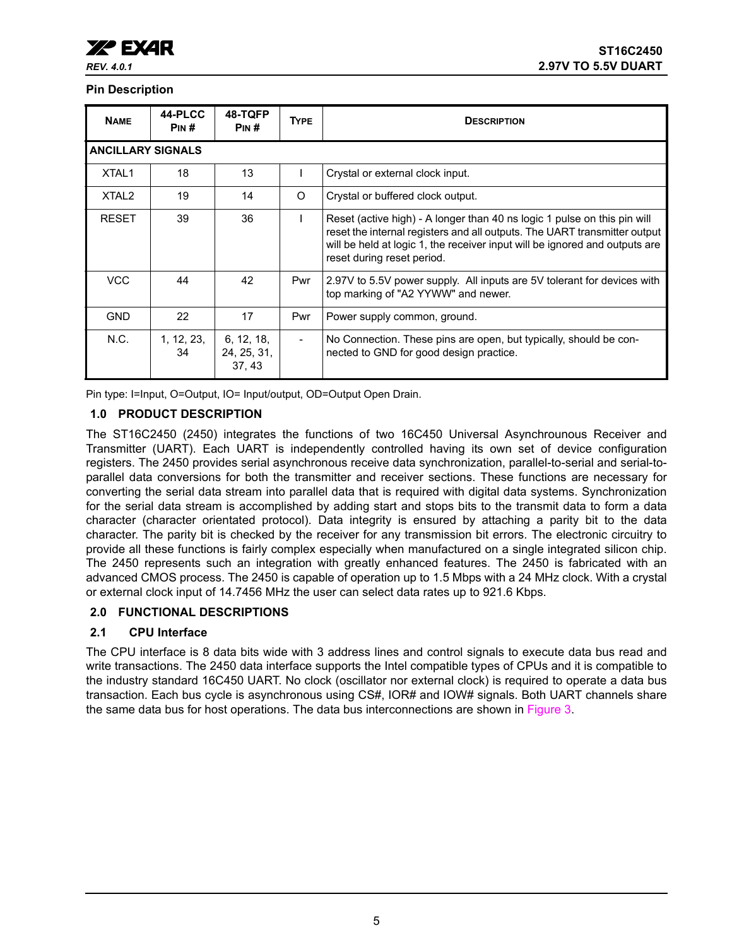#### **Pin Description**

| <b>NAME</b>              | 44-PLCC<br>PIN#  | 48-TQFP<br>PIN#                    | <b>TYPE</b>                                   | <b>DESCRIPTION</b>                                                                                                                                                                                                                                                 |
|--------------------------|------------------|------------------------------------|-----------------------------------------------|--------------------------------------------------------------------------------------------------------------------------------------------------------------------------------------------------------------------------------------------------------------------|
| <b>ANCILLARY SIGNALS</b> |                  |                                    |                                               |                                                                                                                                                                                                                                                                    |
| XTAL <sub>1</sub>        | 18               | 13                                 |                                               | Crystal or external clock input.                                                                                                                                                                                                                                   |
| XTAL <sub>2</sub>        | 19               | 14                                 | $\Omega$<br>Crystal or buffered clock output. |                                                                                                                                                                                                                                                                    |
| <b>RESET</b>             | 39               | 36                                 |                                               | Reset (active high) - A longer than 40 ns logic 1 pulse on this pin will<br>reset the internal registers and all outputs. The UART transmitter output<br>will be held at logic 1, the receiver input will be ignored and outputs are<br>reset during reset period. |
| <b>VCC</b>               | 44               | 42                                 | Pwr                                           | 2.97V to 5.5V power supply. All inputs are 5V tolerant for devices with<br>top marking of "A2 YYWW" and newer.                                                                                                                                                     |
| <b>GND</b>               | 22               | 17                                 | Pwr                                           | Power supply common, ground.                                                                                                                                                                                                                                       |
| N.C.                     | 1, 12, 23,<br>34 | 6, 12, 18,<br>24, 25, 31,<br>37.43 |                                               | No Connection. These pins are open, but typically, should be con-<br>nected to GND for good design practice.                                                                                                                                                       |

Pin type: I=Input, O=Output, IO= Input/output, OD=Output Open Drain.

### <span id="page-4-0"></span>**1.0 PRODUCT DESCRIPTION**

The ST16C2450 (2450) integrates the functions of two 16C450 Universal Asynchrounous Receiver and Transmitter (UART). Each UART is independently controlled having its own set of device configuration registers. The 2450 provides serial asynchronous receive data synchronization, parallel-to-serial and serial-toparallel data conversions for both the transmitter and receiver sections. These functions are necessary for converting the serial data stream into parallel data that is required with digital data systems. Synchronization for the serial data stream is accomplished by adding start and stops bits to the transmit data to form a data character (character orientated protocol). Data integrity is ensured by attaching a parity bit to the data character. The parity bit is checked by the receiver for any transmission bit errors. The electronic circuitry to provide all these functions is fairly complex especially when manufactured on a single integrated silicon chip. The 2450 represents such an integration with greatly enhanced features. The 2450 is fabricated with an advanced CMOS process. The 2450 is capable of operation up to 1.5 Mbps with a 24 MHz clock. With a crystal or external clock input of 14.7456 MHz the user can select data rates up to 921.6 Kbps.

### <span id="page-4-1"></span>**2.0 FUNCTIONAL DESCRIPTIONS**

### <span id="page-4-2"></span>**2.1 CPU Interface**

The CPU interface is 8 data bits wide with 3 address lines and control signals to execute data bus read and write transactions. The 2450 data interface supports the Intel compatible types of CPUs and it is compatible to the industry standard 16C450 UART. No clock (oscillator nor external clock) is required to operate a data bus transaction. Each bus cycle is asynchronous using CS#, IOR# and IOW# signals. Both UART channels share the same data bus for host operations. The data bus interconnections are shown in [Figure](#page-5-0) 3.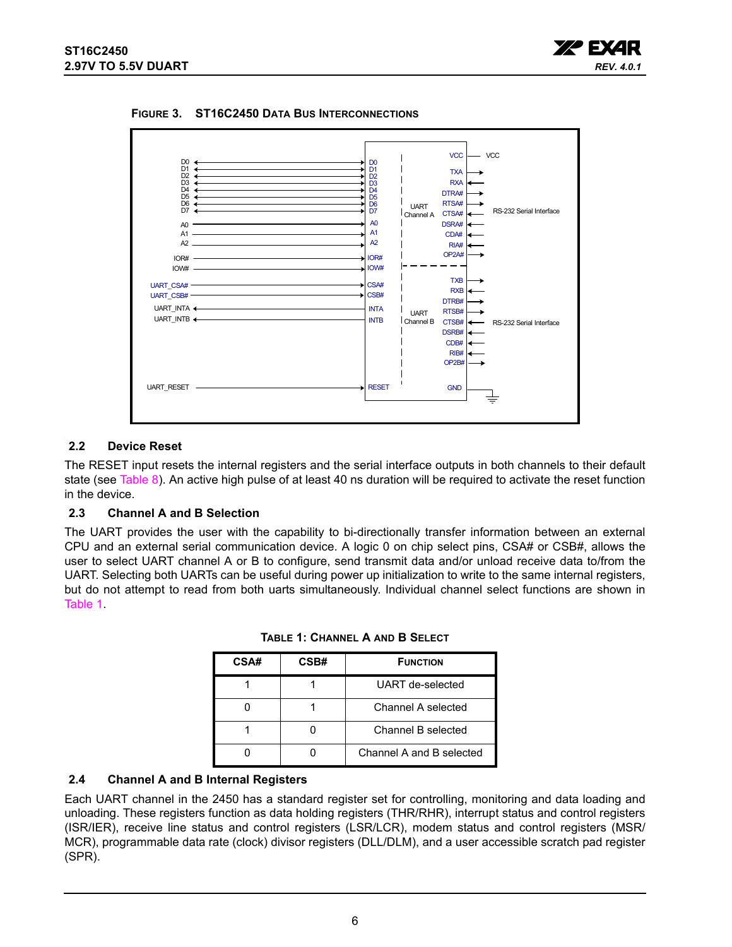



<span id="page-5-0"></span>**FIGURE 3. ST16C2450 DATA BUS INTERCONNECTIONS**

### <span id="page-5-2"></span>**2.2 Device Reset**

The RESET input resets the internal registers and the serial interface outputs in both channels to their default state (see [Table](#page-18-0) 8). An active high pulse of at least 40 ns duration will be required to activate the reset function in the device.

### <span id="page-5-3"></span>**2.3 Channel A and B Selection**

<span id="page-5-1"></span>The UART provides the user with the capability to bi-directionally transfer information between an external CPU and an external serial communication device. A logic 0 on chip select pins, CSA# or CSB#, allows the user to select UART channel A or B to configure, send transmit data and/or unload receive data to/from the UART. Selecting both UARTs can be useful during power up initialization to write to the same internal registers, but do not attempt to read from both uarts simultaneously. Individual channel select functions are shown in [Table](#page-5-1) 1.

| CSA# | CSB# | <b>FUNCTION</b>          |
|------|------|--------------------------|
|      |      | UART de-selected         |
|      |      | Channel A selected       |
|      |      | Channel B selected       |
|      |      | Channel A and B selected |

**TABLE 1: CHANNEL A AND B SELECT**

### <span id="page-5-4"></span>**2.4 Channel A and B Internal Registers**

Each UART channel in the 2450 has a standard register set for controlling, monitoring and data loading and unloading. These registers function as data holding registers (THR/RHR), interrupt status and control registers (ISR/IER), receive line status and control registers (LSR/LCR), modem status and control registers (MSR/ MCR), programmable data rate (clock) divisor registers (DLL/DLM), and a user accessible scratch pad register (SPR).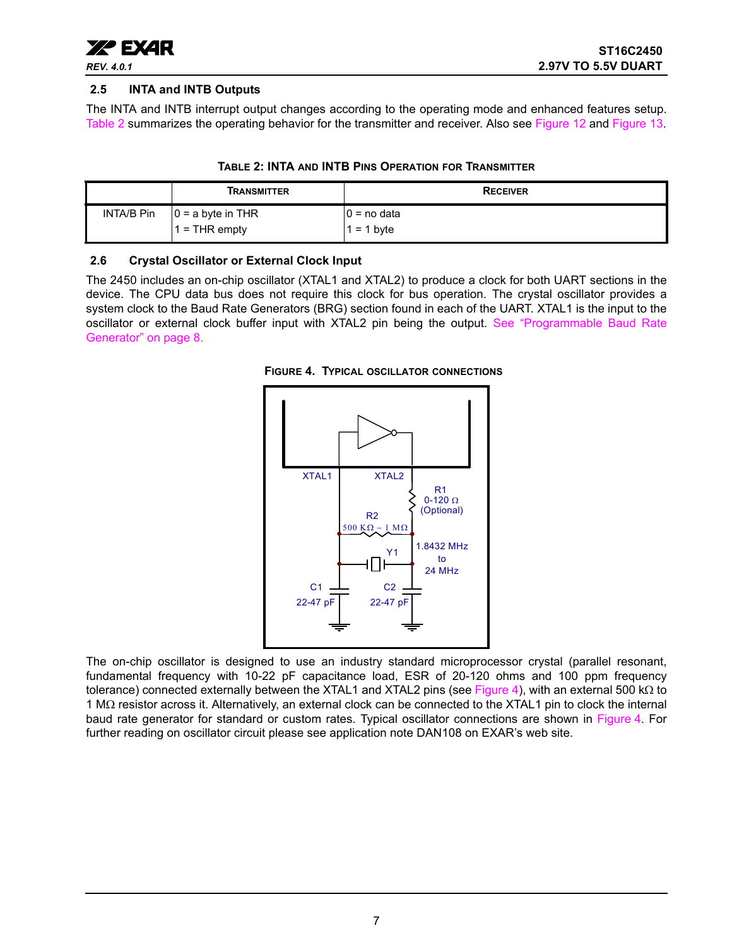

### <span id="page-6-2"></span>**2.5 INTA and INTB Outputs**

The INTA and INTB interrupt output changes according to the operating mode and enhanced features setup. [Table](#page-6-0) 2 summarizes the operating behavior for the transmitter and receiver. Also see [Figure](#page-23-0) 12 and [Figure](#page-23-1) 13.

<span id="page-6-0"></span>

|            | Transmitter         | <b>RECEIVER</b> |
|------------|---------------------|-----------------|
| INTA/B Pin | $0 = a$ byte in THR | $0 = no$ data   |
|            | $=$ THR empty       | $= 1$ byte      |

### **TABLE 2: INTA AND INTB PINS OPERATION FOR TRANSMITTER**

#### <span id="page-6-3"></span>**2.6 Crystal Oscillator or External Clock Input**

The 2450 includes an on-chip oscillator (XTAL1 and XTAL2) to produce a clock for both UART sections in the device. The CPU data bus does not require this clock for bus operation. The crystal oscillator provides a system clock to the Baud Rate Generators (BRG) section found in each of the UART. XTAL1 is the input to the oscillator or external clock buffer input with XTAL2 pin being the output. [See "Programmable Baud Rate](#page-7-0) [Generator" on page](#page-7-0) 8.

<span id="page-6-1"></span>



The on-chip oscillator is designed to use an industry standard microprocessor crystal (parallel resonant, fundamental frequency with 10-22 pF capacitance load, ESR of 20-120 ohms and 100 ppm frequency tolerance) connected externally between the XTAL1 and XTAL2 pins (see [Figure](#page-6-1) 4), with an external 500 kΩ to 1 MΩ resistor across it. Alternatively, an external clock can be connected to the XTAL1 pin to clock the internal baud rate generator for standard or custom rates. Typical oscillator connections are shown in [Figure](#page-6-1) 4. For further reading on oscillator circuit please see application note DAN108 on EXAR's web site.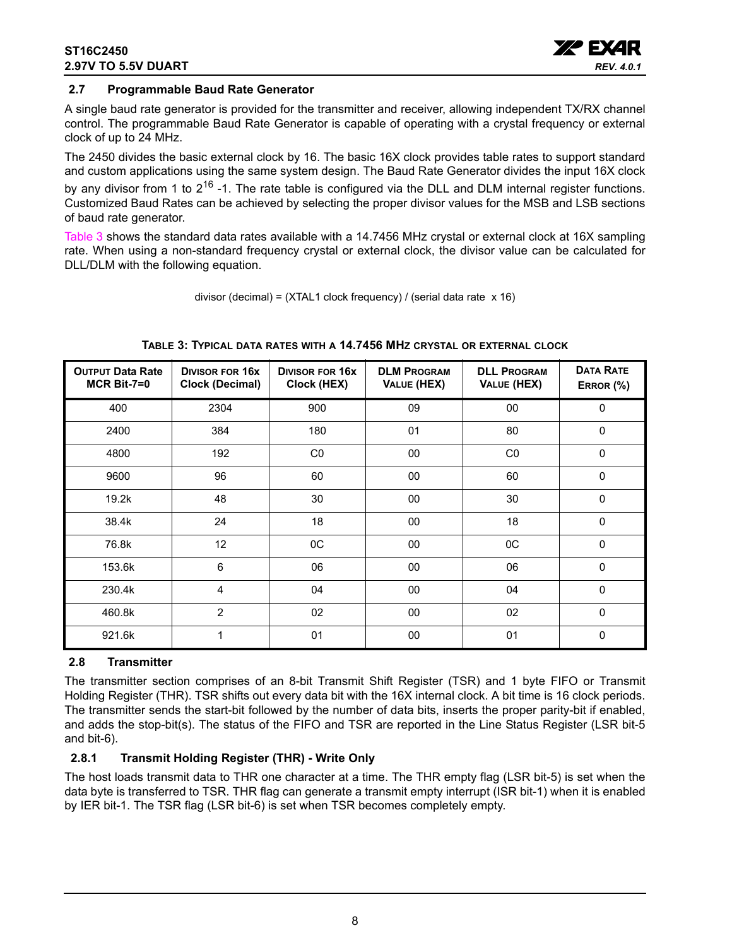### **ST16C2450 2.97V TO 5.5V DUART**



### <span id="page-7-0"></span>**2.7 Programmable Baud Rate Generator**

A single baud rate generator is provided for the transmitter and receiver, allowing independent TX/RX channel control. The programmable Baud Rate Generator is capable of operating with a crystal frequency or external clock of up to 24 MHz.

The 2450 divides the basic external clock by 16. The basic 16X clock provides table rates to support standard and custom applications using the same system design. The Baud Rate Generator divides the input 16X clock by any divisor from 1 to  $2^{16}$  -1. The rate table is configured via the DLL and DLM internal register functions. Customized Baud Rates can be achieved by selecting the proper divisor values for the MSB and LSB sections of baud rate generator.

[Table](#page-7-1) 3 shows the standard data rates available with a 14.7456 MHz crystal or external clock at 16X sampling rate. When using a non-standard frequency crystal or external clock, the divisor value can be calculated for DLL/DLM with the following equation.

divisor (decimal) = (XTAL1 clock frequency) / (serial data rate x 16)

<span id="page-7-1"></span>

| <b>OUTPUT Data Rate</b><br>$MCR$ Bit-7=0 | <b>DIVISOR FOR 16X</b><br><b>Clock (Decimal)</b> | <b>DIVISOR FOR 16X</b><br>Clock (HEX) | <b>DLM PROGRAM</b><br>VALUE (HEX) | <b>DLL PROGRAM</b><br>VALUE (HEX) | <b>DATA RATE</b><br>ERROR (%) |
|------------------------------------------|--------------------------------------------------|---------------------------------------|-----------------------------------|-----------------------------------|-------------------------------|
| 400                                      | 2304                                             | 900                                   | 09                                | 00                                | 0                             |
| 2400                                     | 384                                              | 180                                   | 01                                | 80                                | $\mathbf{0}$                  |
| 4800                                     | 192                                              | CO                                    | 00                                | CO                                | $\mathbf{0}$                  |
| 9600                                     | 96                                               | 60                                    | 00                                | 60                                | $\Omega$                      |
| 19.2k                                    | 48                                               | 30                                    | 00                                | 30                                | $\Omega$                      |
| 38.4k                                    | 24                                               | 18                                    | 00                                | 18                                | 0                             |
| 76.8k                                    | 12                                               | 0C                                    | 00                                | 0C                                | 0                             |
| 153.6k                                   | 6                                                | 06                                    | $00\,$                            | 06                                | 0                             |
| 230.4k                                   | 4                                                | 04                                    | $00\,$                            | 04                                | $\mathbf 0$                   |
| 460.8k                                   | $\overline{2}$                                   | 02                                    | $00\,$                            | 02                                | 0                             |
| 921.6k                                   | 1                                                | 01                                    | $00\,$                            | 01                                | 0                             |

#### **TABLE 3: TYPICAL DATA RATES WITH A 14.7456 MHZ CRYSTAL OR EXTERNAL CLOCK**

### <span id="page-7-2"></span>**2.8 Transmitter**

The transmitter section comprises of an 8-bit Transmit Shift Register (TSR) and 1 byte FIFO or Transmit Holding Register (THR). TSR shifts out every data bit with the 16X internal clock. A bit time is 16 clock periods. The transmitter sends the start-bit followed by the number of data bits, inserts the proper parity-bit if enabled, and adds the stop-bit(s). The status of the FIFO and TSR are reported in the Line Status Register (LSR bit-5 and bit-6).

### <span id="page-7-3"></span>**2.8.1 Transmit Holding Register (THR) - Write Only**

The host loads transmit data to THR one character at a time. The THR empty flag (LSR bit-5) is set when the data byte is transferred to TSR. THR flag can generate a transmit empty interrupt (ISR bit-1) when it is enabled by IER bit-1. The TSR flag (LSR bit-6) is set when TSR becomes completely empty.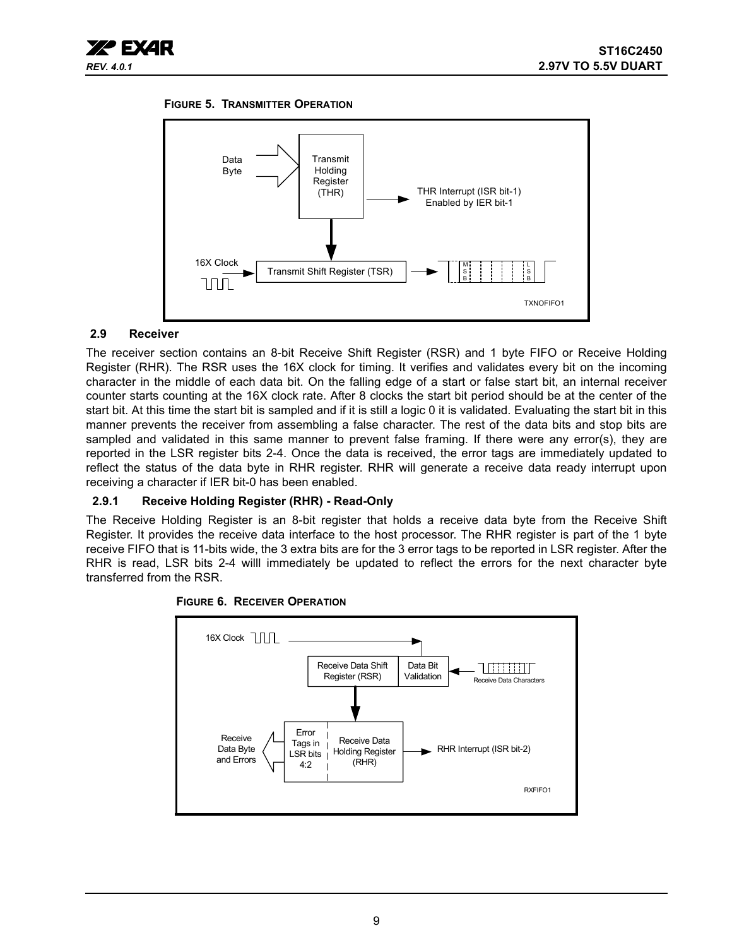

#### <span id="page-8-1"></span>**FIGURE 5. TRANSMITTER OPERATION**



### <span id="page-8-0"></span>**2.9 Receiver**

The receiver section contains an 8-bit Receive Shift Register (RSR) and 1 byte FIFO or Receive Holding Register (RHR). The RSR uses the 16X clock for timing. It verifies and validates every bit on the incoming character in the middle of each data bit. On the falling edge of a start or false start bit, an internal receiver counter starts counting at the 16X clock rate. After 8 clocks the start bit period should be at the center of the start bit. At this time the start bit is sampled and if it is still a logic 0 it is validated. Evaluating the start bit in this manner prevents the receiver from assembling a false character. The rest of the data bits and stop bits are sampled and validated in this same manner to prevent false framing. If there were any error(s), they are reported in the LSR register bits 2-4. Once the data is received, the error tags are immediately updated to reflect the status of the data byte in RHR register. RHR will generate a receive data ready interrupt upon receiving a character if IER bit-0 has been enabled.

### <span id="page-8-2"></span>**2.9.1 Receive Holding Register (RHR) - Read-Only**

The Receive Holding Register is an 8-bit register that holds a receive data byte from the Receive Shift Register. It provides the receive data interface to the host processor. The RHR register is part of the 1 byte receive FIFO that is 11-bits wide, the 3 extra bits are for the 3 error tags to be reported in LSR register. After the RHR is read, LSR bits 2-4 willl immediately be updated to reflect the errors for the next character byte transferred from the RSR.



### <span id="page-8-3"></span>**FIGURE 6. RECEIVER OPERATION**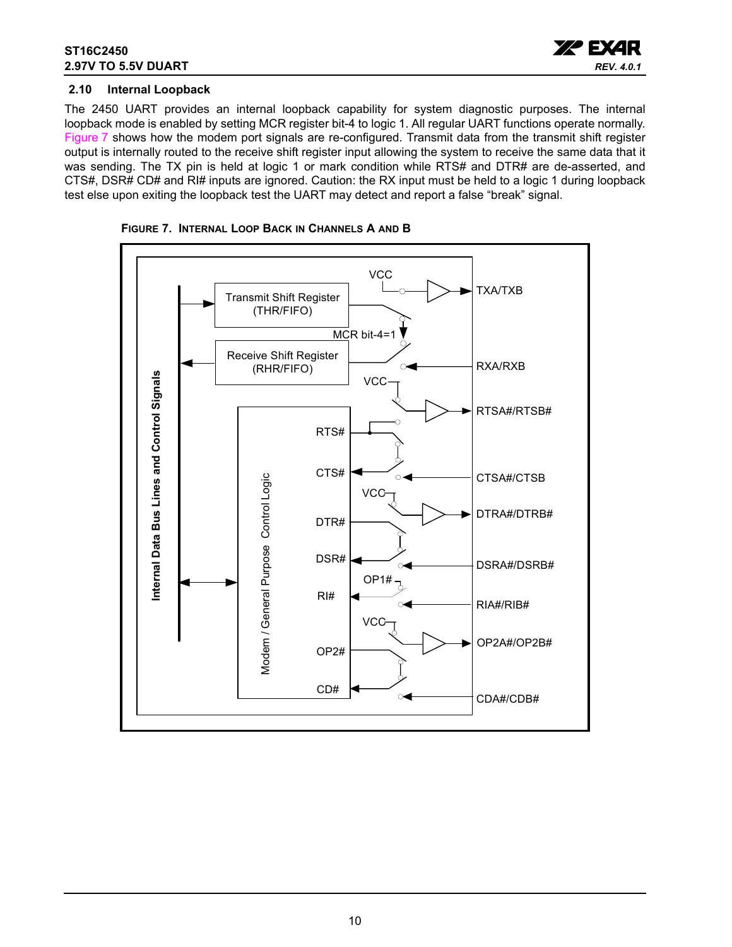

### <span id="page-9-1"></span>**2.10 Internal Loopback**

The 2450 UART provides an internal loopback capability for system diagnostic purposes. The internal loopback mode is enabled by setting MCR register bit-4 to logic 1. All regular UART functions operate normally. [Figure](#page-9-0) 7 shows how the modem port signals are re-configured. Transmit data from the transmit shift register output is internally routed to the receive shift register input allowing the system to receive the same data that it was sending. The TX pin is held at logic 1 or mark condition while RTS# and DTR# are de-asserted, and CTS#, DSR# CD# and RI# inputs are ignored. Caution: the RX input must be held to a logic 1 during loopback test else upon exiting the loopback test the UART may detect and report a false "break" signal.



<span id="page-9-0"></span>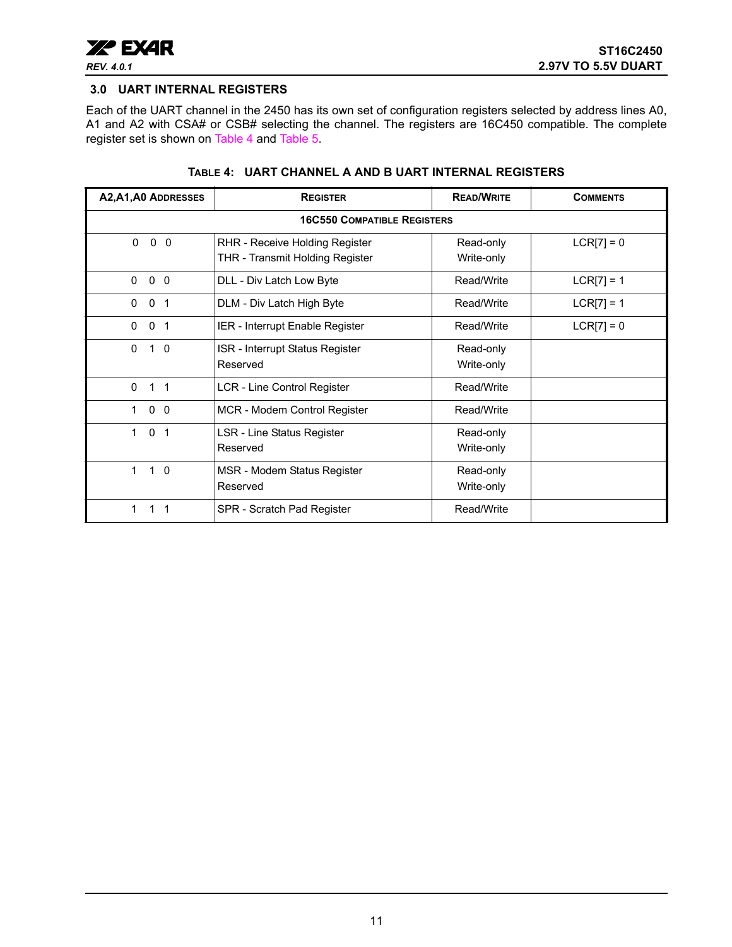

### <span id="page-10-1"></span>**3.0 UART INTERNAL REGISTERS**

Each of the UART channel in the 2450 has its own set of configuration registers selected by address lines A0, A1 and A2 with CSA# or CSB# selecting the channel. The registers are 16C450 compatible. The complete register set is shown on [Table](#page-10-0) 4 and [Table](#page-11-0) 5.

<span id="page-10-0"></span>

| A2, A1, A0 ADDRESSES               | <b>REGISTER</b>                                                   | <b>READ/WRITE</b>       | <b>COMMENTS</b> |
|------------------------------------|-------------------------------------------------------------------|-------------------------|-----------------|
|                                    | <b>16C550 COMPATIBLE REGISTERS</b>                                |                         |                 |
| $\mathbf 0$<br>$\mathbf{0}$<br>- 0 | RHR - Receive Holding Register<br>THR - Transmit Holding Register | Read-only<br>Write-only | $LCR[7] = 0$    |
| $\mathbf{0}$<br>0<br>0             | DLL - Div Latch Low Byte                                          | Read/Write              | $LCR[7] = 1$    |
| 0 <sub>1</sub><br>$\mathbf{0}$     | DLM - Div Latch High Byte                                         | Read/Write              | $LCR[7] = 1$    |
| $\mathbf{0}$<br>-1<br>0            | IER - Interrupt Enable Register                                   | Read/Write              | $LCR[7] = 0$    |
| $\mathbf{0}$<br>$1\quad 0$         | ISR - Interrupt Status Register<br>Reserved                       | Read-only<br>Write-only |                 |
| $\Omega$<br>$1 \quad 1$            | LCR - Line Control Register                                       | Read/Write              |                 |
| $0\quad 0$<br>1                    | MCR - Modem Control Register                                      | Read/Write              |                 |
| $\mathbf{0}$<br>1<br>1             | LSR - Line Status Register<br>Reserved                            | Read-only<br>Write-only |                 |
| $\mathbf 1$<br>$1\quad$ 0          | MSR - Modem Status Register<br>Reserved                           | Read-only<br>Write-only |                 |
|                                    | SPR - Scratch Pad Register                                        | Read/Write              |                 |

#### **TABLE 4: UART CHANNEL A AND B UART INTERNAL REGISTERS**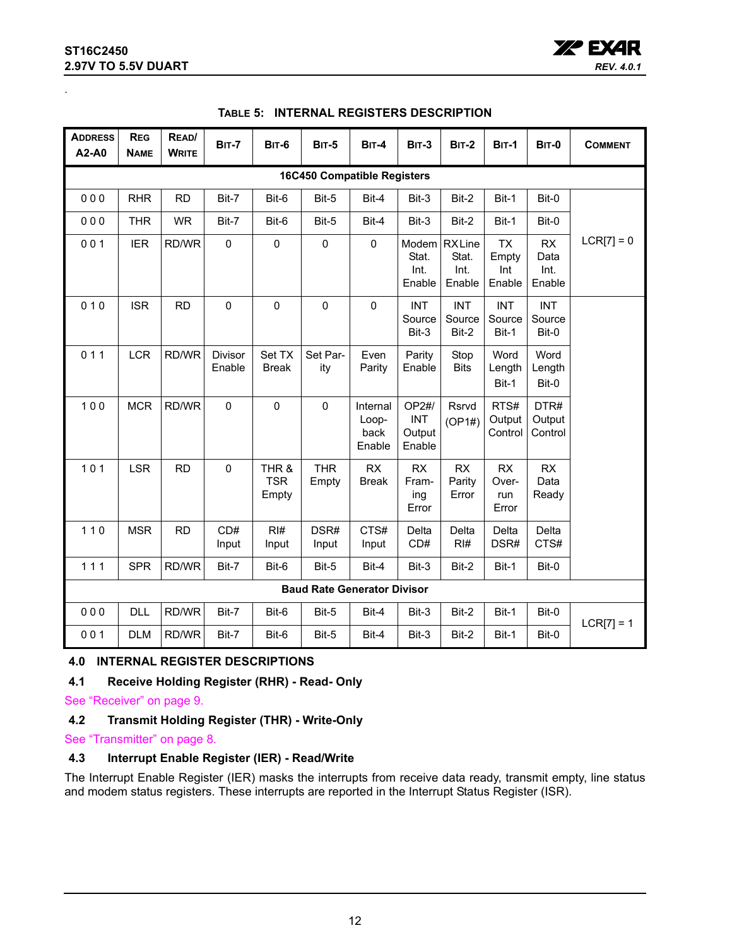### **ST16C2450 2.97V TO 5.5V DUART**

<span id="page-11-0"></span>.



| <b>ADDRESS</b><br>A2-A0 | <b>REG</b><br><b>NAME</b>          | READ/<br><b>WRITE</b> | <b>BIT-7</b>      | <b>BIT-6</b>                 | <b>BIT-5</b>                       | $BIT-4$                             | <b>BIT-3</b>                            | <b>BIT-2</b>                            | <b>BIT-1</b>                        | <b>BIT-0</b>                  | <b>COMMENT</b> |
|-------------------------|------------------------------------|-----------------------|-------------------|------------------------------|------------------------------------|-------------------------------------|-----------------------------------------|-----------------------------------------|-------------------------------------|-------------------------------|----------------|
|                         | <b>16C450 Compatible Registers</b> |                       |                   |                              |                                    |                                     |                                         |                                         |                                     |                               |                |
| 000                     | <b>RHR</b>                         | <b>RD</b>             | Bit-7             | Bit-6                        | Bit-5                              | Bit-4                               | Bit-3                                   | Bit-2                                   | Bit-1                               | Bit-0                         |                |
| 000                     | <b>THR</b>                         | <b>WR</b>             | Bit-7             | Bit-6                        | Bit-5                              | Bit-4                               | Bit-3                                   | Bit-2                                   | Bit-1                               | Bit-0                         |                |
| 001                     | <b>IER</b>                         | RD/WR                 | $\mathbf 0$       | $\pmb{0}$                    | $\mathsf 0$                        | $\mathbf 0$                         | Stat.<br>Int.<br>Enable                 | Modem RXLine<br>Stat.<br>Int.<br>Enable | <b>TX</b><br>Empty<br>Int<br>Enable | RX<br>Data<br>Int.<br>Enable  | $LCR[7] = 0$   |
| 010                     | <b>ISR</b>                         | <b>RD</b>             | $\mathbf 0$       | $\pmb{0}$                    | $\mathbf 0$                        | $\pmb{0}$                           | <b>INT</b><br>Source<br>Bit-3           | <b>INT</b><br>Source<br>Bit-2           | <b>INT</b><br>Source<br>Bit-1       | <b>INT</b><br>Source<br>Bit-0 |                |
| 011                     | <b>LCR</b>                         | RD/WR                 | Divisor<br>Enable | Set TX<br><b>Break</b>       | Set Par-<br>ity                    | Even<br>Parity                      | Parity<br>Enable                        | Stop<br><b>Bits</b>                     | Word<br>Length<br>Bit-1             | Word<br>Length<br>Bit-0       |                |
| 100                     | <b>MCR</b>                         | RD/WR                 | $\mathbf 0$       | $\mathbf 0$                  | $\mathbf 0$                        | Internal<br>Loop-<br>back<br>Enable | OP2#/<br><b>INT</b><br>Output<br>Enable | Rsrvd<br>(OP1#)                         | RTS#<br>Output<br>Control           | DTR#<br>Output<br>Control     |                |
| 101                     | <b>LSR</b>                         | <b>RD</b>             | $\mathbf 0$       | THR &<br><b>TSR</b><br>Empty | <b>THR</b><br>Empty                | RX<br><b>Break</b>                  | <b>RX</b><br>Fram-<br>ing<br>Error      | <b>RX</b><br>Parity<br>Error            | RX<br>Over-<br>run<br>Error         | <b>RX</b><br>Data<br>Ready    |                |
| $110$                   | <b>MSR</b>                         | <b>RD</b>             | CD#<br>Input      | RI#<br>Input                 | DSR#<br>Input                      | CTS#<br>Input                       | Delta<br>CD#                            | Delta<br>RI#                            | Delta<br>DSR#                       | Delta<br>CTS#                 |                |
| 111                     | <b>SPR</b>                         | RD/WR                 | Bit-7             | Bit-6                        | Bit-5                              | Bit-4                               | Bit-3                                   | Bit-2                                   | Bit-1                               | Bit-0                         |                |
|                         |                                    |                       |                   |                              | <b>Baud Rate Generator Divisor</b> |                                     |                                         |                                         |                                     |                               |                |
| 000                     | <b>DLL</b>                         | RD/WR                 | Bit-7             | Bit-6                        | Bit-5                              | Bit-4                               | Bit-3                                   | Bit-2                                   | Bit-1                               | Bit-0                         | $LCR[7] = 1$   |
| 001                     | <b>DLM</b>                         | RD/WR                 | Bit-7             | Bit-6                        | Bit-5                              | Bit-4                               | Bit-3                                   | Bit-2                                   | Bit-1                               | Bit-0                         |                |

### **TABLE 5: INTERNAL REGISTERS DESCRIPTION**

### <span id="page-11-1"></span>**4.0 INTERNAL REGISTER DESCRIPTIONS**

### <span id="page-11-2"></span>**4.1 Receive Holding Register (RHR) - Read- Only**

[See "Receiver" on page](#page-8-0) 9.

### <span id="page-11-3"></span>**4.2 Transmit Holding Register (THR) - Write-Only**

[See "Transmitter" on page](#page-7-2) 8.

### <span id="page-11-4"></span>**4.3 Interrupt Enable Register (IER) - Read/Write**

The Interrupt Enable Register (IER) masks the interrupts from receive data ready, transmit empty, line status and modem status registers. These interrupts are reported in the Interrupt Status Register (ISR).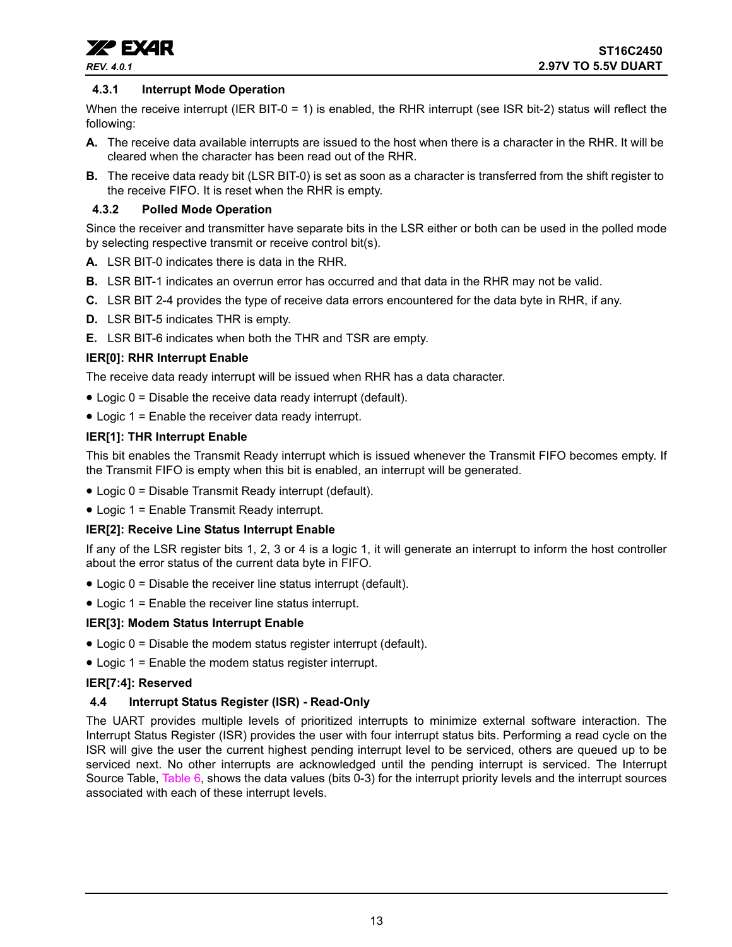

### <span id="page-12-0"></span>**4.3.1 Interrupt Mode Operation**

When the receive interrupt (IER BIT-0 = 1) is enabled, the RHR interrupt (see ISR bit-2) status will reflect the following:

- **A.** The receive data available interrupts are issued to the host when there is a character in the RHR. It will be cleared when the character has been read out of the RHR.
- **B.** The receive data ready bit (LSR BIT-0) is set as soon as a character is transferred from the shift register to the receive FIFO. It is reset when the RHR is empty.

### <span id="page-12-1"></span>**4.3.2 Polled Mode Operation**

Since the receiver and transmitter have separate bits in the LSR either or both can be used in the polled mode by selecting respective transmit or receive control bit(s).

- **A.** LSR BIT-0 indicates there is data in the RHR.
- **B.** LSR BIT-1 indicates an overrun error has occurred and that data in the RHR may not be valid.
- **C.** LSR BIT 2-4 provides the type of receive data errors encountered for the data byte in RHR, if any.
- **D.** LSR BIT-5 indicates THR is empty.
- **E.** LSR BIT-6 indicates when both the THR and TSR are empty.

### **IER[0]: RHR Interrupt Enable**

The receive data ready interrupt will be issued when RHR has a data character.

- Logic 0 = Disable the receive data ready interrupt (default).
- Logic 1 = Enable the receiver data ready interrupt.

### **IER[1]: THR Interrupt Enable**

This bit enables the Transmit Ready interrupt which is issued whenever the Transmit FIFO becomes empty. If the Transmit FIFO is empty when this bit is enabled, an interrupt will be generated.

- Logic 0 = Disable Transmit Ready interrupt (default).
- Logic 1 = Enable Transmit Ready interrupt.

#### **IER[2]: Receive Line Status Interrupt Enable**

If any of the LSR register bits 1, 2, 3 or 4 is a logic 1, it will generate an interrupt to inform the host controller about the error status of the current data byte in FIFO.

- Logic 0 = Disable the receiver line status interrupt (default).
- Logic 1 = Enable the receiver line status interrupt.

#### **IER[3]: Modem Status Interrupt Enable**

- Logic 0 = Disable the modem status register interrupt (default).
- Logic 1 = Enable the modem status register interrupt.

#### **IER[7:4]: Reserved**

### <span id="page-12-2"></span>**4.4 Interrupt Status Register (ISR) - Read-Only**

The UART provides multiple levels of prioritized interrupts to minimize external software interaction. The Interrupt Status Register (ISR) provides the user with four interrupt status bits. Performing a read cycle on the ISR will give the user the current highest pending interrupt level to be serviced, others are queued up to be serviced next. No other interrupts are acknowledged until the pending interrupt is serviced. The Interrupt Source [Table](#page-13-0), Table 6, shows the data values (bits 0-3) for the interrupt priority levels and the interrupt sources associated with each of these interrupt levels.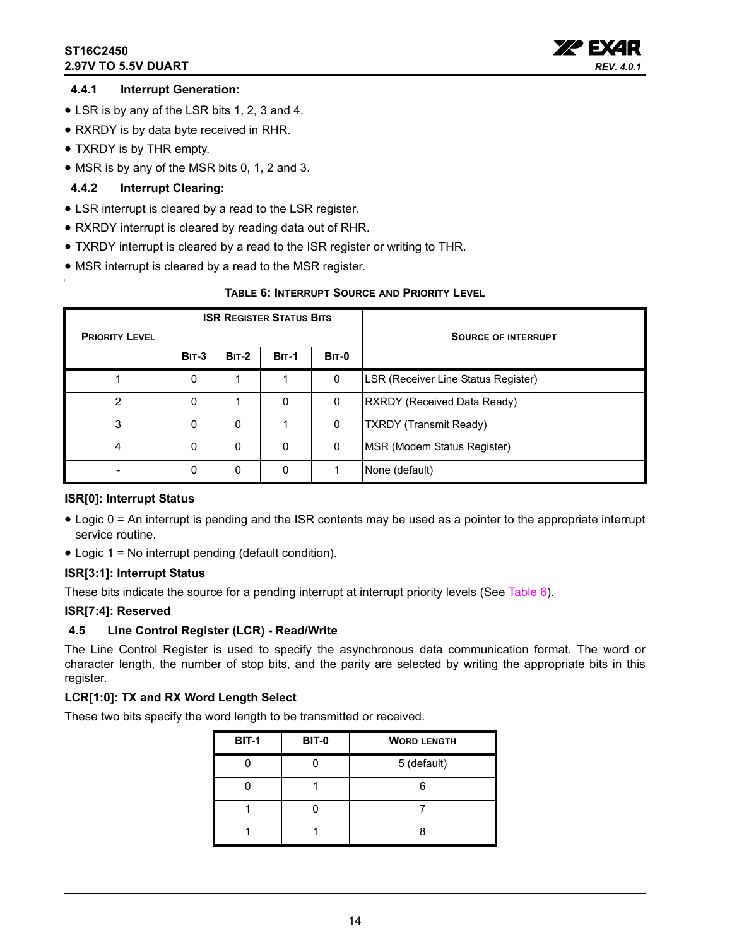### **ST16C2450 2.97V TO 5.5V DUART**



### <span id="page-13-1"></span>**4.4.1 Interrupt Generation:**

- LSR is by any of the LSR bits 1, 2, 3 and 4.
- RXRDY is by data byte received in RHR.
- TXRDY is by THR empty.
- MSR is by any of the MSR bits 0, 1, 2 and 3.

### <span id="page-13-2"></span>**4.4.2 Interrupt Clearing:**

- LSR interrupt is cleared by a read to the LSR register.
- RXRDY interrupt is cleared by reading data out of RHR.
- TXRDY interrupt is cleared by a read to the ISR register or writing to THR.
- MSR interrupt is cleared by a read to the MSR register.

### **TABLE 6: INTERRUPT SOURCE AND PRIORITY LEVEL**

<span id="page-13-0"></span>

| <b>PRIORITY LEVEL</b> |              |              | <b>ISR REGISTER STATUS BITS</b> |              | <b>SOURCE OF INTERRUPT</b>          |  |  |
|-----------------------|--------------|--------------|---------------------------------|--------------|-------------------------------------|--|--|
|                       | <b>BIT-3</b> | <b>BIT-2</b> | <b>BIT-1</b>                    | <b>BIT-0</b> |                                     |  |  |
|                       | 0            |              |                                 | 0            | LSR (Receiver Line Status Register) |  |  |
| 2                     | 0            |              | 0                               | 0            | RXRDY (Received Data Ready)         |  |  |
| 3                     | 0            | $\mathbf 0$  |                                 | 0            | <b>TXRDY</b> (Transmit Ready)       |  |  |
| 4                     | 0            | $\mathbf 0$  | 0                               | 0            | MSR (Modem Status Register)         |  |  |
|                       | 0            | 0            | 0                               |              | None (default)                      |  |  |

### **ISR[0]: Interrupt Status**

- Logic 0 = An interrupt is pending and the ISR contents may be used as a pointer to the appropriate interrupt service routine.
- Logic 1 = No interrupt pending (default condition).

### **ISR[3:1]: Interrupt Status**

These bits indicate the source for a pending interrupt at interrupt priority levels (See [Table](#page-13-0) 6).

### **ISR[7:4]: Reserved**

### <span id="page-13-3"></span>**4.5 Line Control Register (LCR) - Read/Write**

The Line Control Register is used to specify the asynchronous data communication format. The word or character length, the number of stop bits, and the parity are selected by writing the appropriate bits in this register.

### **LCR[1:0]: TX and RX Word Length Select**

These two bits specify the word length to be transmitted or received.

| <b>BIT-1</b> | <b>BIT-0</b> | <b>WORD LENGTH</b> |
|--------------|--------------|--------------------|
|              |              | 5 (default)        |
|              |              |                    |
|              |              |                    |
|              |              |                    |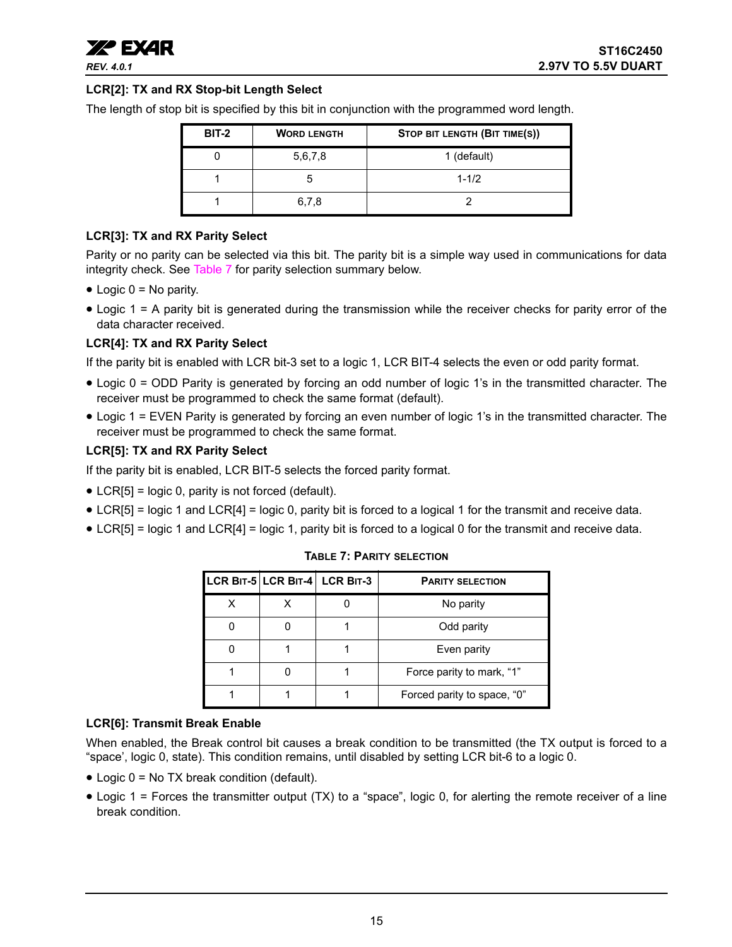

### **LCR[2]: TX and RX Stop-bit Length Select**

The length of stop bit is specified by this bit in conjunction with the programmed word length.

| <b>BIT-2</b> | <b>WORD LENGTH</b> | STOP BIT LENGTH (BIT TIME(S)) |
|--------------|--------------------|-------------------------------|
|              | 5,6,7,8            | 1 (default)                   |
|              | h                  | $1 - 1/2$                     |
|              | 6,7,8              |                               |

### **LCR[3]: TX and RX Parity Select**

Parity or no parity can be selected via this bit. The parity bit is a simple way used in communications for data integrity check. See [Table](#page-14-0) 7 for parity selection summary below.

- $\bullet$  Logic 0 = No parity.
- Logic 1 = A parity bit is generated during the transmission while the receiver checks for parity error of the data character received.

### **LCR[4]: TX and RX Parity Select**

If the parity bit is enabled with LCR bit-3 set to a logic 1, LCR BIT-4 selects the even or odd parity format.

- Logic 0 = ODD Parity is generated by forcing an odd number of logic 1's in the transmitted character. The receiver must be programmed to check the same format (default).
- Logic 1 = EVEN Parity is generated by forcing an even number of logic 1's in the transmitted character. The receiver must be programmed to check the same format.

#### **LCR[5]: TX and RX Parity Select**

If the parity bit is enabled, LCR BIT-5 selects the forced parity format.

- LCR[5] = logic 0, parity is not forced (default).
- LCR[5] = logic 1 and LCR[4] = logic 0, parity bit is forced to a logical 1 for the transmit and receive data.
- <span id="page-14-0"></span>• LCR[5] = logic 1 and LCR[4] = logic 1, parity bit is forced to a logical 0 for the transmit and receive data.

|   | LCR BIT-5 LCR BIT-4 LCR BIT-3 | <b>PARITY SELECTION</b>     |
|---|-------------------------------|-----------------------------|
| x |                               | No parity                   |
|   |                               | Odd parity                  |
|   |                               | Even parity                 |
|   |                               | Force parity to mark, "1"   |
|   |                               | Forced parity to space, "0" |

#### **TABLE 7: PARITY SELECTION**

#### **LCR[6]: Transmit Break Enable**

When enabled, the Break control bit causes a break condition to be transmitted (the TX output is forced to a "space', logic 0, state). This condition remains, until disabled by setting LCR bit-6 to a logic 0.

- Logic 0 = No TX break condition (default).
- Logic 1 = Forces the transmitter output (TX) to a "space", logic 0, for alerting the remote receiver of a line break condition.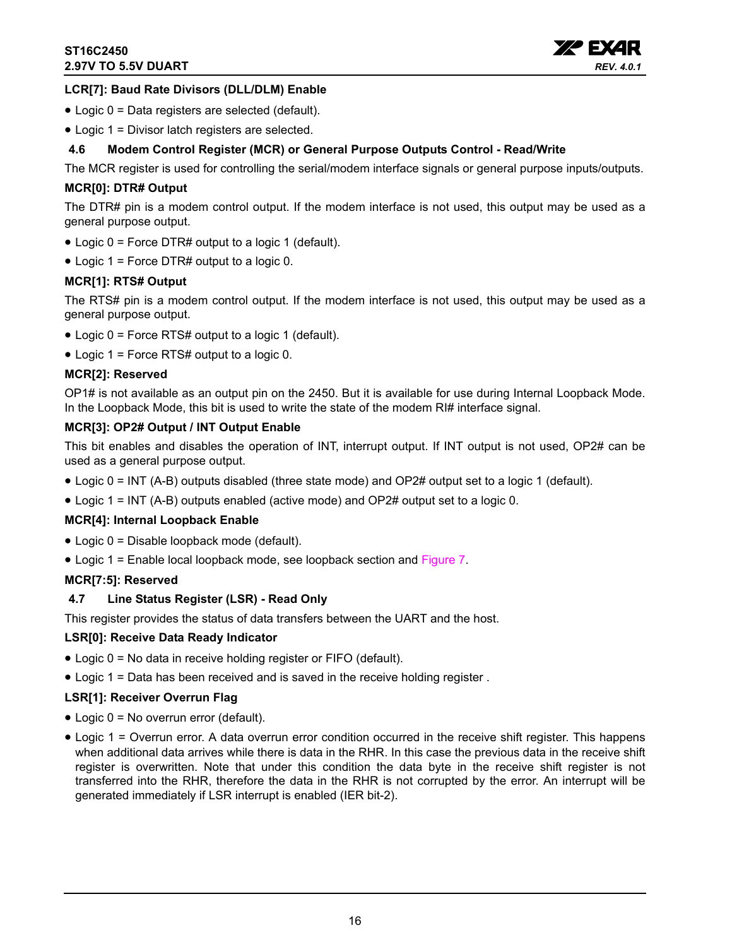

### **LCR[7]: Baud Rate Divisors (DLL/DLM) Enable**

- Logic 0 = Data registers are selected (default).
- Logic 1 = Divisor latch registers are selected.

### <span id="page-15-0"></span>**4.6 Modem Control Register (MCR) or General Purpose Outputs Control - Read/Write**

The MCR register is used for controlling the serial/modem interface signals or general purpose inputs/outputs.

### **MCR[0]: DTR# Output**

The DTR# pin is a modem control output. If the modem interface is not used, this output may be used as a general purpose output.

- Logic 0 = Force DTR# output to a logic 1 (default).
- Logic 1 = Force DTR# output to a logic 0.

### **MCR[1]: RTS# Output**

The RTS# pin is a modem control output. If the modem interface is not used, this output may be used as a general purpose output.

- Logic 0 = Force RTS# output to a logic 1 (default).
- Logic 1 = Force RTS# output to a logic 0.

### **MCR[2]: Reserved**

OP1# is not available as an output pin on the 2450. But it is available for use during Internal Loopback Mode. In the Loopback Mode, this bit is used to write the state of the modem RI# interface signal.

### **MCR[3]: OP2# Output / INT Output Enable**

This bit enables and disables the operation of INT, interrupt output. If INT output is not used, OP2# can be used as a general purpose output.

- Logic 0 = INT (A-B) outputs disabled (three state mode) and OP2# output set to a logic 1 (default).
- Logic 1 = INT (A-B) outputs enabled (active mode) and OP2# output set to a logic 0.

#### **MCR[4]: Internal Loopback Enable**

- Logic 0 = Disable loopback mode (default).
- Logic 1 = Enable local loopback mode, see loopback section and [Figure](#page-9-0) 7.

#### **MCR[7:5]: Reserved**

### <span id="page-15-1"></span>**4.7 Line Status Register (LSR) - Read Only**

This register provides the status of data transfers between the UART and the host.

#### **LSR[0]: Receive Data Ready Indicator**

- Logic 0 = No data in receive holding register or FIFO (default).
- Logic 1 = Data has been received and is saved in the receive holding register .

### **LSR[1]: Receiver Overrun Flag**

- Logic 0 = No overrun error (default).
- Logic 1 = Overrun error. A data overrun error condition occurred in the receive shift register. This happens when additional data arrives while there is data in the RHR. In this case the previous data in the receive shift register is overwritten. Note that under this condition the data byte in the receive shift register is not transferred into the RHR, therefore the data in the RHR is not corrupted by the error. An interrupt will be generated immediately if LSR interrupt is enabled (IER bit-2).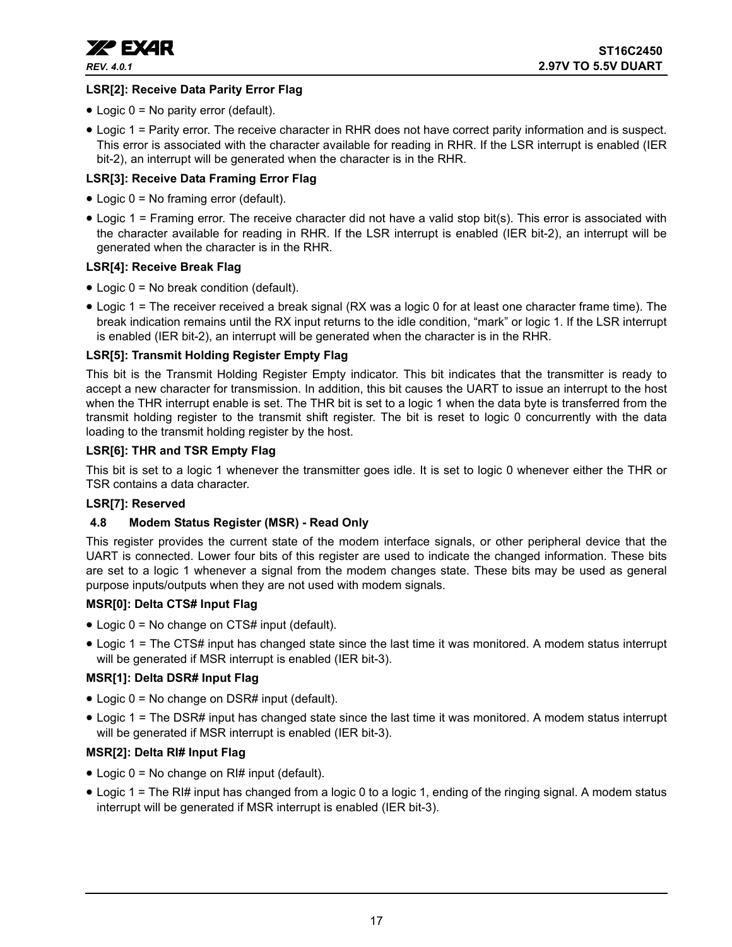

### **LSR[2]: Receive Data Parity Error Flag**

- Logic 0 = No parity error (default).
- Logic 1 = Parity error. The receive character in RHR does not have correct parity information and is suspect. This error is associated with the character available for reading in RHR. If the LSR interrupt is enabled (IER bit-2), an interrupt will be generated when the character is in the RHR.

### **LSR[3]: Receive Data Framing Error Flag**

- Logic 0 = No framing error (default).
- Logic 1 = Framing error. The receive character did not have a valid stop bit(s). This error is associated with the character available for reading in RHR. If the LSR interrupt is enabled (IER bit-2), an interrupt will be generated when the character is in the RHR.

### **LSR[4]: Receive Break Flag**

- Logic 0 = No break condition (default).
- Logic 1 = The receiver received a break signal (RX was a logic 0 for at least one character frame time). The break indication remains until the RX input returns to the idle condition, "mark" or logic 1. If the LSR interrupt is enabled (IER bit-2), an interrupt will be generated when the character is in the RHR.

### **LSR[5]: Transmit Holding Register Empty Flag**

This bit is the Transmit Holding Register Empty indicator. This bit indicates that the transmitter is ready to accept a new character for transmission. In addition, this bit causes the UART to issue an interrupt to the host when the THR interrupt enable is set. The THR bit is set to a logic 1 when the data byte is transferred from the transmit holding register to the transmit shift register. The bit is reset to logic 0 concurrently with the data loading to the transmit holding register by the host.

### **LSR[6]: THR and TSR Empty Flag**

This bit is set to a logic 1 whenever the transmitter goes idle. It is set to logic 0 whenever either the THR or TSR contains a data character.

### **LSR[7]: Reserved**

### <span id="page-16-0"></span>**4.8 Modem Status Register (MSR) - Read Only**

This register provides the current state of the modem interface signals, or other peripheral device that the UART is connected. Lower four bits of this register are used to indicate the changed information. These bits are set to a logic 1 whenever a signal from the modem changes state. These bits may be used as general purpose inputs/outputs when they are not used with modem signals.

### **MSR[0]: Delta CTS# Input Flag**

- Logic 0 = No change on CTS# input (default).
- Logic 1 = The CTS# input has changed state since the last time it was monitored. A modem status interrupt will be generated if MSR interrupt is enabled (IER bit-3).

### **MSR[1]: Delta DSR# Input Flag**

- Logic 0 = No change on DSR# input (default).
- Logic 1 = The DSR# input has changed state since the last time it was monitored. A modem status interrupt will be generated if MSR interrupt is enabled (IER bit-3).

### **MSR[2]: Delta RI# Input Flag**

- Logic  $0 = No$  change on RI# input (default).
- Logic 1 = The RI# input has changed from a logic 0 to a logic 1, ending of the ringing signal. A modem status interrupt will be generated if MSR interrupt is enabled (IER bit-3).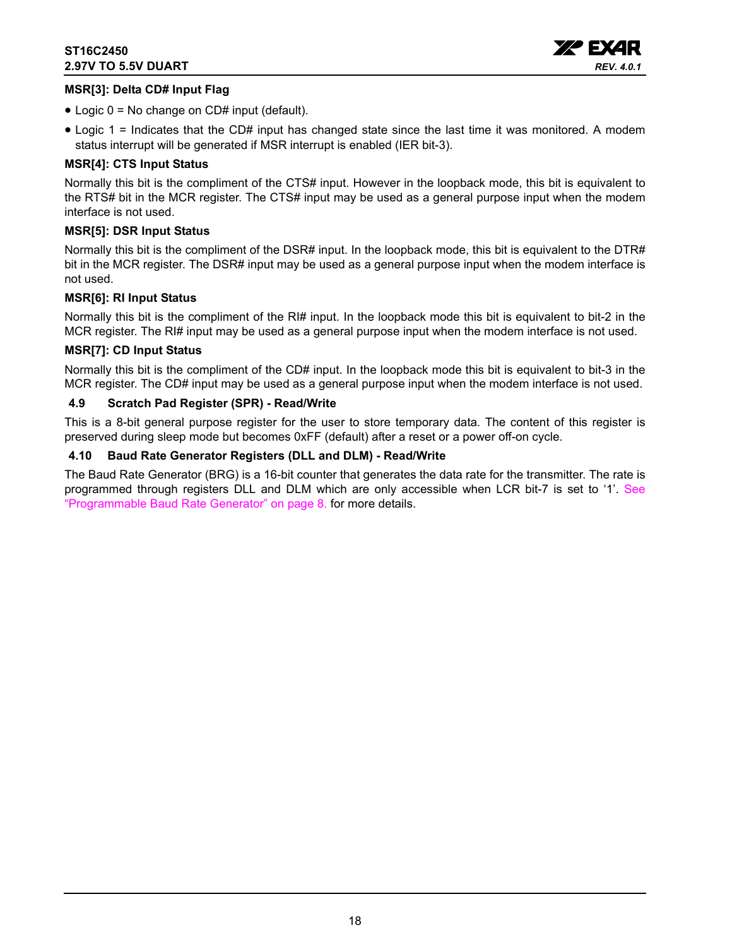

### **MSR[3]: Delta CD# Input Flag**

- Logic 0 = No change on CD# input (default).
- Logic 1 = Indicates that the CD# input has changed state since the last time it was monitored. A modem status interrupt will be generated if MSR interrupt is enabled (IER bit-3).

### **MSR[4]: CTS Input Status**

Normally this bit is the compliment of the CTS# input. However in the loopback mode, this bit is equivalent to the RTS# bit in the MCR register. The CTS# input may be used as a general purpose input when the modem interface is not used.

### **MSR[5]: DSR Input Status**

Normally this bit is the compliment of the DSR# input. In the loopback mode, this bit is equivalent to the DTR# bit in the MCR register. The DSR# input may be used as a general purpose input when the modem interface is not used.

### **MSR[6]: RI Input Status**

Normally this bit is the compliment of the RI# input. In the loopback mode this bit is equivalent to bit-2 in the MCR register. The RI# input may be used as a general purpose input when the modem interface is not used.

### **MSR[7]: CD Input Status**

Normally this bit is the compliment of the CD# input. In the loopback mode this bit is equivalent to bit-3 in the MCR register. The CD# input may be used as a general purpose input when the modem interface is not used.

### <span id="page-17-0"></span>**4.9 Scratch Pad Register (SPR) - Read/Write**

This is a 8-bit general purpose register for the user to store temporary data. The content of this register is preserved during sleep mode but becomes 0xFF (default) after a reset or a power off-on cycle.

### <span id="page-17-1"></span>**4.10 Baud Rate Generator Registers (DLL and DLM) - Read/Write**

The Baud Rate Generator (BRG) is a 16-bit counter that generates the data rate for the transmitter. The rate is programmed through registers DLL and DLM which are only accessible when LCR bit-7 is set to '1'. [See](#page-7-0) ["Programmable Baud Rate Generator" on page](#page-7-0) 8. for more details.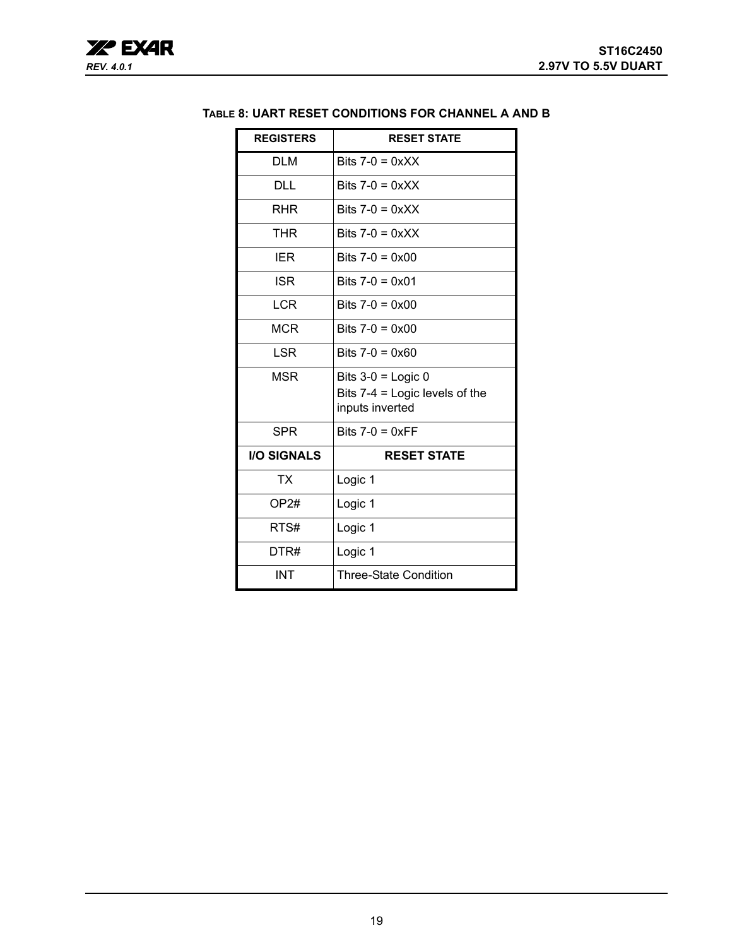| <b>REGISTERS</b>   | <b>RESET STATE</b>                                                          |
|--------------------|-----------------------------------------------------------------------------|
| <b>DLM</b>         | Bits $7-0 = 0xXX$                                                           |
| <b>DLL</b>         | Bits $7-0 = 0 \times XX$                                                    |
| <b>RHR</b>         | Bits $7-0 = 0xXX$                                                           |
| <b>THR</b>         | Bits $7-0 = 0 \times XX$                                                    |
| <b>IER</b>         | Bits $7-0 = 0 \times 00$                                                    |
| <b>ISR</b>         | Bits $7-0 = 0 \times 01$                                                    |
| <b>LCR</b>         | Bits $7-0 = 0 \times 00$                                                    |
| <b>MCR</b>         | Bits $7-0 = 0 \times 00$                                                    |
| <b>LSR</b>         | Bits $7-0 = 0 \times 60$                                                    |
| <b>MSR</b>         | Bits $3-0$ = Logic 0<br>Bits $7-4$ = Logic levels of the<br>inputs inverted |
| <b>SPR</b>         | Bits $7-0 = 0 \times FF$                                                    |
| <b>I/O SIGNALS</b> | <b>RESET STATE</b>                                                          |
| TX                 | Logic 1                                                                     |
| OP2#               | Logic 1                                                                     |
| RTS#               | Logic 1                                                                     |
| DTR#               | Logic 1                                                                     |
| <b>INT</b>         | <b>Three-State Condition</b>                                                |

### <span id="page-18-0"></span>**TABLE 8: UART RESET CONDITIONS FOR CHANNEL A AND B**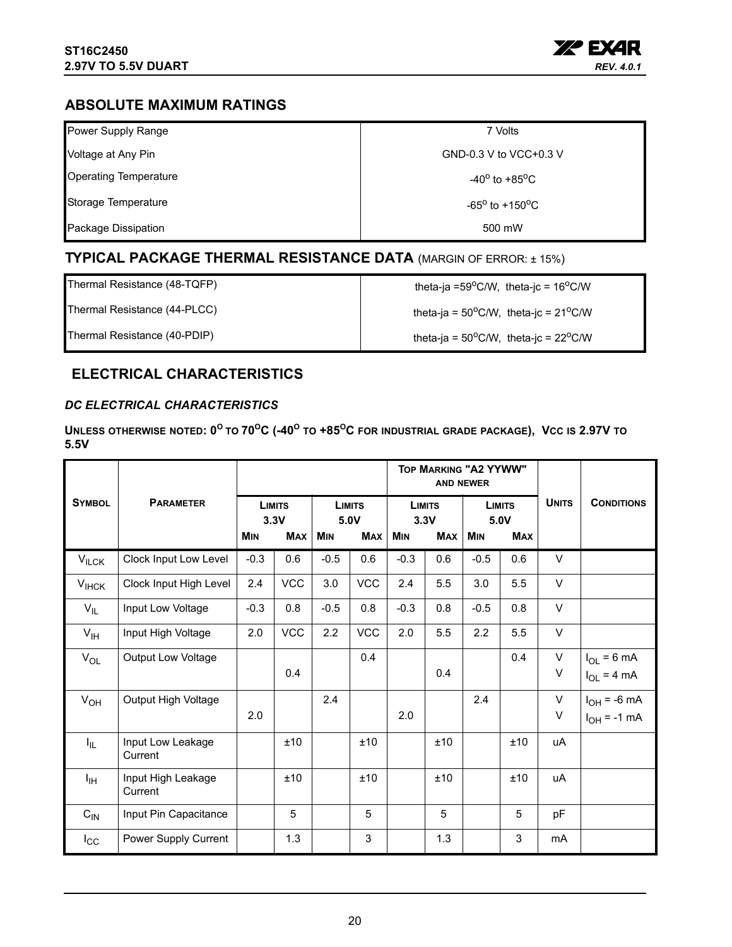

### <span id="page-19-0"></span>**ABSOLUTE MAXIMUM RATINGS**

| Power Supply Range           | 7 Volts                                |
|------------------------------|----------------------------------------|
| Voltage at Any Pin           | GND-0.3 V to VCC+0.3 V                 |
| <b>Operating Temperature</b> | -40 <sup>o</sup> to +85 <sup>o</sup> C |
| Storage Temperature          | $-65^{\circ}$ to $+150^{\circ}$ C      |
| Package Dissipation          | 500 mW                                 |

### <span id="page-19-1"></span>**TYPICAL PACKAGE THERMAL RESISTANCE DATA** (MARGIN OF ERROR: ± 15%)

Thermal Resistance (48-TQFP)  $\qquad \qquad$  theta-ja =59°C/W, theta-jc = 16°C/W

Thermal Resistance (44-PLCC) theta-ja =  $50^{\circ}$ C/W, theta-jc =  $21^{\circ}$ C/W

Thermal Resistance (40-PDIP) theta-ja =  $50^{\circ}$ C/W, theta-jc =  $22^{\circ}$ C/W

### <span id="page-19-2"></span>**ELECTRICAL CHARACTERISTICS**

### <span id="page-19-3"></span>*DC ELECTRICAL CHARACTERISTICS*

**UNLESS OTHERWISE NOTED: 0<sup>O</sup> TO 70OC (-40O TO +85OC FOR INDUSTRIAL GRADE PACKAGE), VCC IS 2.97V TO 5.5V** 

|                 |                               |            |                       |            |                       |            |                       | <b>TOP MARKING "A2 YYWW"</b><br><b>AND NEWER</b> |                       |              |                   |
|-----------------|-------------------------------|------------|-----------------------|------------|-----------------------|------------|-----------------------|--------------------------------------------------|-----------------------|--------------|-------------------|
| <b>SYMBOL</b>   | <b>PARAMETER</b>              |            | <b>LIMITS</b><br>3.3V |            | <b>LIMITS</b><br>5.0V |            | <b>LIMITS</b><br>3.3V |                                                  | <b>LIMITS</b><br>5.0V | <b>UNITS</b> | <b>CONDITIONS</b> |
|                 |                               | <b>MIN</b> | <b>MAX</b>            | <b>MIN</b> | <b>MAX</b>            | <b>MIN</b> | <b>MAX</b>            | <b>MIN</b>                                       | <b>MAX</b>            |              |                   |
| $V_{ILCK}$      | Clock Input Low Level         | $-0.3$     | 0.6                   | $-0.5$     | 0.6                   | $-0.3$     | 0.6                   | $-0.5$                                           | 0.6                   | $\vee$       |                   |
| $V_{I H C K}$   | Clock Input High Level        | 2.4        | <b>VCC</b>            | 3.0        | <b>VCC</b>            | 2.4        | 5.5                   | 3.0                                              | 5.5                   | $\vee$       |                   |
| $V_{IL}$        | Input Low Voltage             | $-0.3$     | 0.8                   | $-0.5$     | 0.8                   | $-0.3$     | 0.8                   | $-0.5$                                           | 0.8                   | $\vee$       |                   |
| $V_{\text{IH}}$ | Input High Voltage            | 2.0        | <b>VCC</b>            | 2.2        | <b>VCC</b>            | 2.0        | 5.5                   | 2.2                                              | 5.5                   | $\vee$       |                   |
| $V_{OL}$        | Output Low Voltage            |            |                       |            | 0.4                   |            |                       |                                                  | 0.4                   | $\vee$       | $I_{OL} = 6 mA$   |
|                 |                               |            | 0.4                   |            |                       |            | 0.4                   |                                                  |                       | V            | $I_{OL}$ = 4 mA   |
| $V_{OH}$        | Output High Voltage           |            |                       | 2.4        |                       |            |                       | 2.4                                              |                       | V            | $I_{OH}$ = -6 mA  |
|                 |                               | 2.0        |                       |            |                       | 2.0        |                       |                                                  |                       | V            | $I_{OH}$ = -1 mA  |
| I <sub>IL</sub> | Input Low Leakage<br>Current  |            | ±10                   |            | ±10                   |            | ±10                   |                                                  | ±10                   | uA           |                   |
| I <sub>IH</sub> | Input High Leakage<br>Current |            | ±10                   |            | ±10                   |            | ±10                   |                                                  | ±10                   | uA           |                   |
| $C_{IN}$        | Input Pin Capacitance         |            | 5                     |            | 5                     |            | 5                     |                                                  | 5                     | pF           |                   |
| $I_{\rm CC}$    | Power Supply Current          |            | 1.3                   |            | 3                     |            | 1.3                   |                                                  | 3                     | mA           |                   |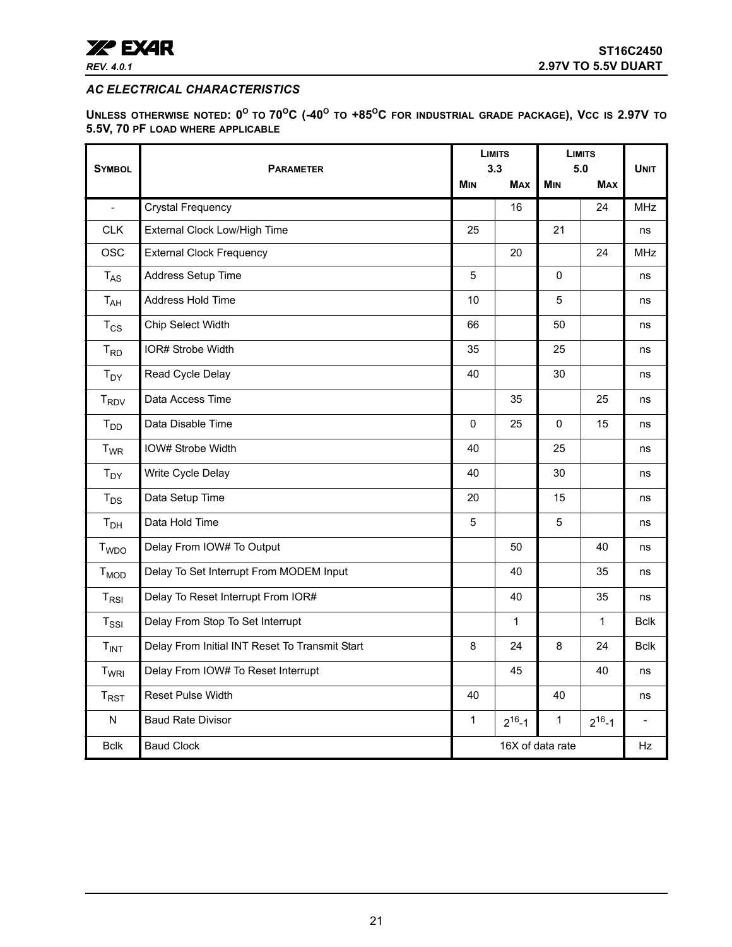

<span id="page-20-0"></span>*AC ELECTRICAL CHARACTERISTICS* 

<span id="page-20-1"></span>**UNLESS OTHERWISE NOTED: 0<sup>O</sup> TO 70OC (-40O TO +85OC FOR INDUSTRIAL GRADE PACKAGE), VCC IS 2.97V TO 5.5V, 70 PF LOAD WHERE APPLICABLE**

|                         |                                                |              | <b>LIMITS</b>    | <b>LIMITS</b> |              |                          |
|-------------------------|------------------------------------------------|--------------|------------------|---------------|--------------|--------------------------|
| <b>SYMBOL</b>           | <b>PARAMETER</b>                               |              | 3.3              |               | 5.0          | <b>UNIT</b>              |
|                         |                                                | <b>MIN</b>   | <b>MAX</b>       | <b>MIN</b>    | <b>MAX</b>   |                          |
| $\overline{a}$          | <b>Crystal Frequency</b>                       |              | 16               |               | 24           | <b>MHz</b>               |
| <b>CLK</b>              | External Clock Low/High Time                   | 25           |                  | 21            |              | ns                       |
| <b>OSC</b>              | <b>External Clock Frequency</b>                |              | 20               |               | 24           | <b>MHz</b>               |
| $T_{AS}$                | Address Setup Time                             | 5            |                  | $\Omega$      |              | ns                       |
| T <sub>AH</sub>         | Address Hold Time                              | 10           |                  | 5             |              | ns                       |
| $T_{CS}$                | Chip Select Width                              | 66           |                  | 50            |              | ns                       |
| $T_{RD}$                | IOR# Strobe Width                              | 35           |                  | 25            |              | ns                       |
| $T_{DY}$                | Read Cycle Delay                               | 40           |                  | 30            |              | ns                       |
| <b>T<sub>RDV</sub></b>  | Data Access Time                               |              | 35               |               | 25           | ns                       |
| $T_{DD}$                | Data Disable Time                              | $\Omega$     | 25               | $\Omega$      | 15           | ns                       |
| <b>T<sub>WR</sub></b>   | IOW# Strobe Width                              | 40           |                  | 25            |              | ns                       |
| $T_{DY}$                | Write Cycle Delay                              | 40           |                  | 30            |              | ns                       |
| $T_{DS}$                | Data Setup Time                                | 20           |                  | 15            |              | ns                       |
| T <sub>DH</sub>         | Data Hold Time                                 | 5            |                  | 5             |              | ns                       |
| <b>T</b> <sub>WDO</sub> | Delay From IOW# To Output                      |              | 50               |               | 40           | ns                       |
| $T_{MOD}$               | Delay To Set Interrupt From MODEM Input        |              | 40               |               | 35           | ns                       |
| $T_{RSI}$               | Delay To Reset Interrupt From IOR#             |              | 40               |               | 35           | ns                       |
| $T_{\rm SSI}$           | Delay From Stop To Set Interrupt               |              | $\mathbf{1}$     |               | $\mathbf{1}$ | <b>Bclk</b>              |
| T <sub>INT</sub>        | Delay From Initial INT Reset To Transmit Start | 8            | 24               | 8             | 24           | <b>Bclk</b>              |
| T <sub>WRI</sub>        | Delay From IOW# To Reset Interrupt             |              | 45               |               | 40           | ns                       |
| $T_{RST}$               | <b>Reset Pulse Width</b>                       | 40           |                  | 40            |              | ns                       |
| N                       | <b>Baud Rate Divisor</b>                       | $\mathbf{1}$ | $2^{16} - 1$     | $\mathbf{1}$  | $2^{16} - 1$ | $\overline{\phantom{a}}$ |
| <b>Bclk</b>             | <b>Baud Clock</b>                              |              | 16X of data rate |               |              | Hz                       |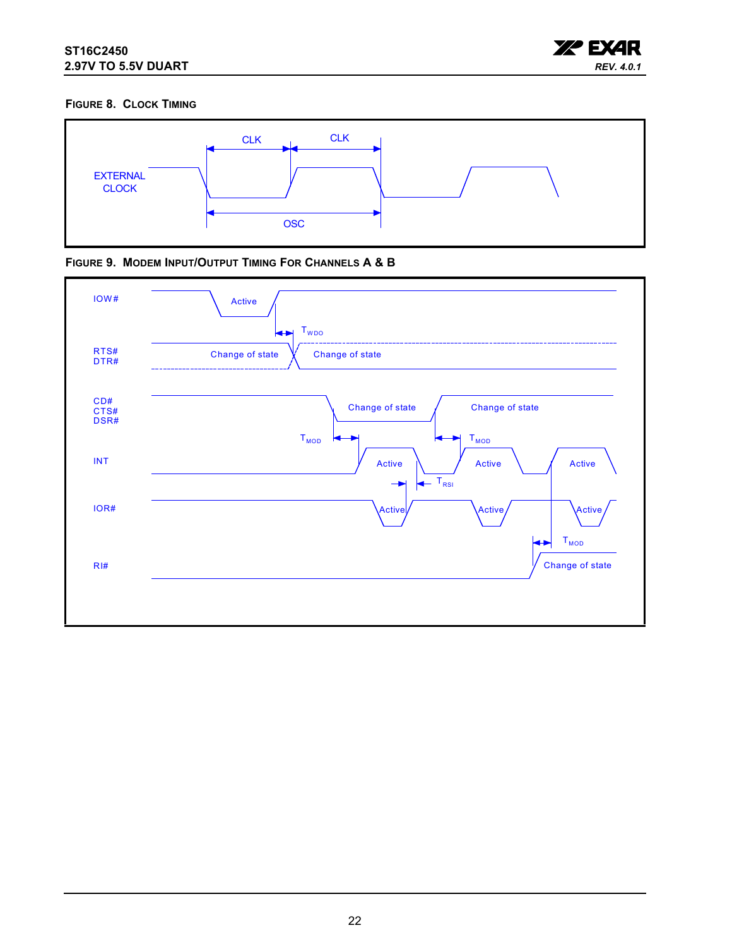

### <span id="page-21-0"></span>**FIGURE 8. CLOCK TIMING**



<span id="page-21-1"></span>

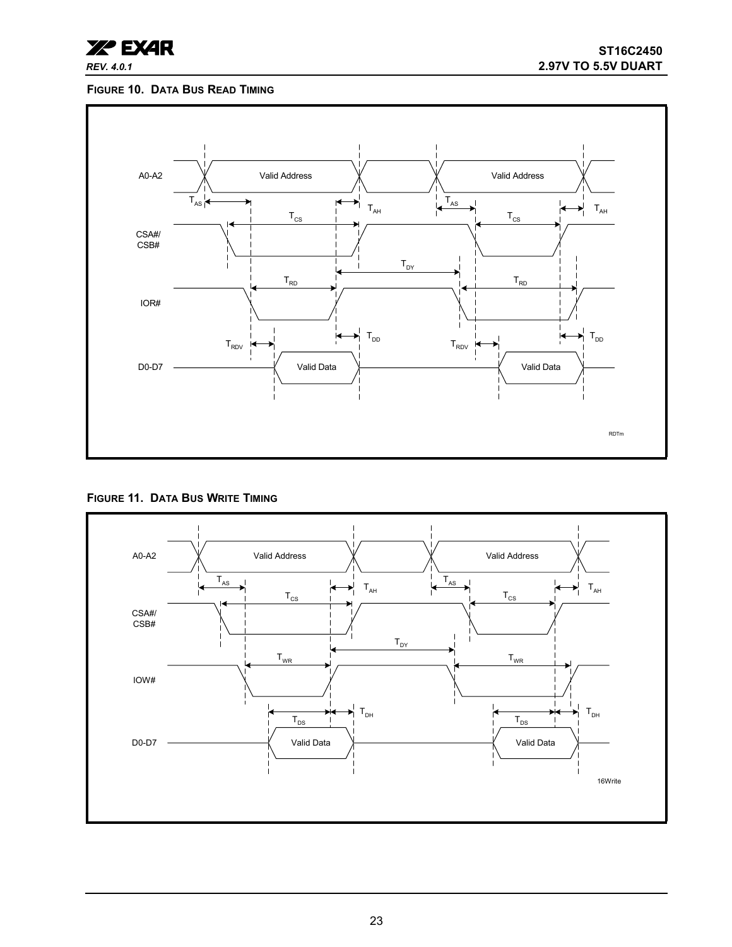

### <span id="page-22-1"></span>**FIGURE 10. DATA BUS READ TIMING**



<span id="page-22-0"></span>**FIGURE 11. DATA BUS WRITE TIMING**

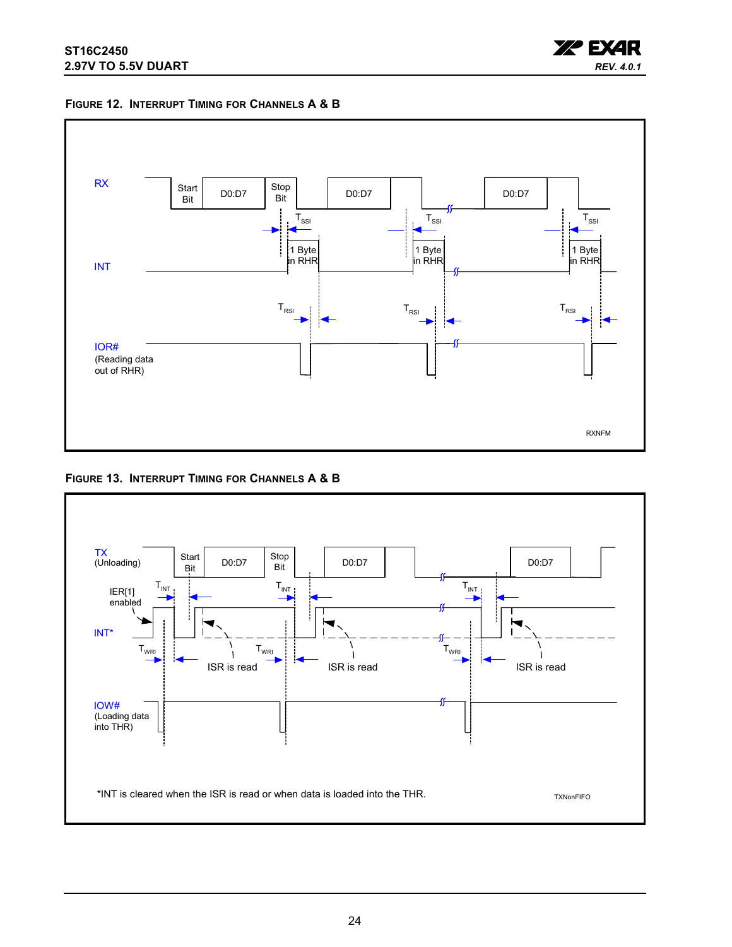

<span id="page-23-0"></span>



<span id="page-23-1"></span>

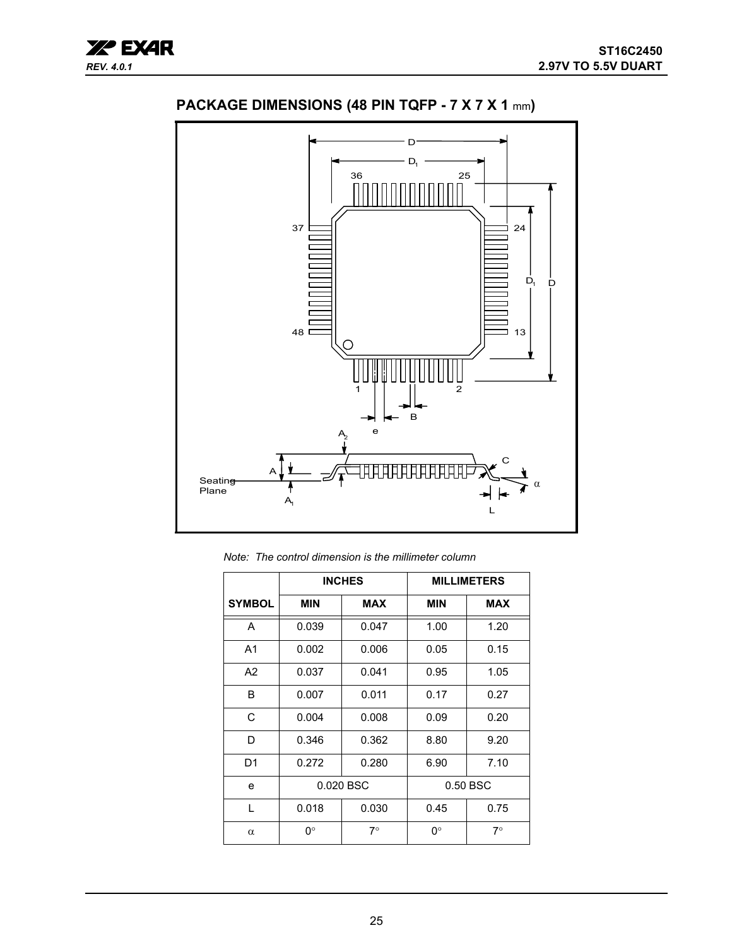



<span id="page-24-0"></span>**PACKAGE DIMENSIONS (48 PIN TQFP - 7 X 7 X 1** mm**)**

*Note: The control dimension is the millimeter column*

|                |            | <b>INCHES</b> |            | <b>MILLIMETERS</b> |
|----------------|------------|---------------|------------|--------------------|
| <b>SYMBOL</b>  | <b>MIN</b> | <b>MAX</b>    | <b>MIN</b> | <b>MAX</b>         |
| A              | 0.039      | 0.047         | 1.00       | 1.20               |
| A <sub>1</sub> | 0.002      | 0.006         | 0.05       | 0.15               |
| A2             | 0.037      | 0.041         | 0.95       | 1.05               |
| B              | 0.007      | 0.011         | 0.17       | 0.27               |
| C              | 0.004      | 0.008         | 0.09       | 0.20               |
| D              | 0.346      | 0.362         | 8.80       | 9.20               |
| D1             | 0.272      | 0.280         | 6.90       | 7.10               |
| e              | 0.020 BSC  |               |            | 0.50 BSC           |
| L              | 0.018      | 0.030         | 0.45       | 0.75               |
| $\alpha$       | 0°         | $7^{\circ}$   | 0°         | $7^\circ$          |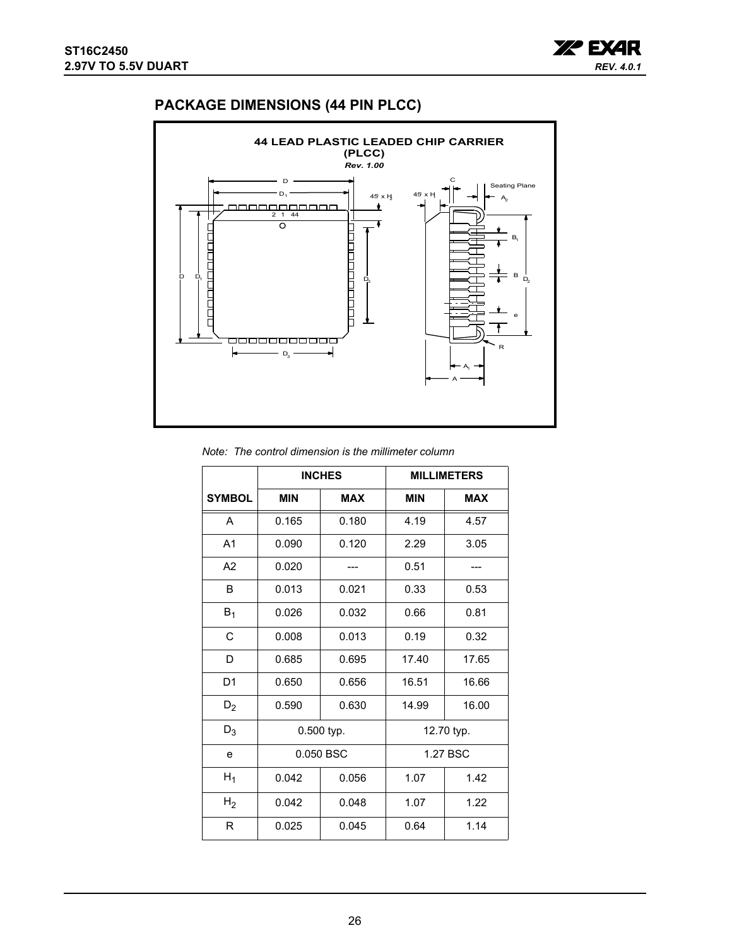

## <span id="page-25-0"></span>**PACKAGE DIMENSIONS (44 PIN PLCC)**



#### *Note: The control dimension is the millimeter column*

|                |            | <b>INCHES</b> |            | <b>MILLIMETERS</b> |  |
|----------------|------------|---------------|------------|--------------------|--|
| <b>SYMBOL</b>  | <b>MIN</b> | <b>MAX</b>    | <b>MIN</b> | <b>MAX</b>         |  |
| A              | 0.165      | 0.180         | 4.19       | 4.57               |  |
| A <sub>1</sub> | 0.090      | 0.120         | 2.29       | 3.05               |  |
| A2             | 0.020      |               | 0.51       |                    |  |
| B              | 0.013      | 0.021         | 0.33       | 0.53               |  |
| $B_1$          | 0.026      | 0.032         | 0.66       | 0.81               |  |
| C              | 0.008      | 0.013         | 0.19       | 0.32               |  |
| D              | 0.685      | 0.695         | 17.40      | 17.65              |  |
| D <sub>1</sub> | 0.650      | 0.656         | 16.51      | 16.66              |  |
| $D_2$          | 0.590      | 0.630         | 14.99      | 16.00              |  |
| $D_3$          |            | 0.500 typ.    | 12.70 typ. |                    |  |
| e              |            | 0.050 BSC     | 1.27 BSC   |                    |  |
| $H_1$          | 0.042      | 0.056         | 1.07       | 1.42               |  |
| H <sub>2</sub> | 0.042      | 0.048         | 1.07       | 1.22               |  |
| R              | 0.025      | 0.045         | 0.64       | 1.14               |  |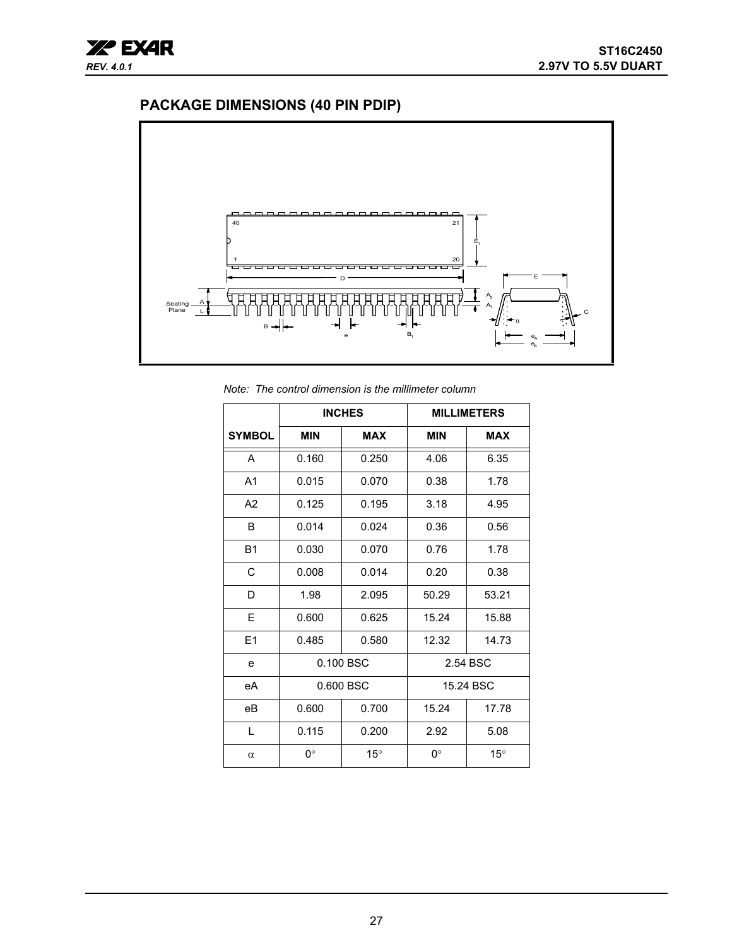# <span id="page-26-0"></span>**PACKAGE DIMENSIONS (40 PIN PDIP)**



*Note: The control dimension is the millimeter column*

|                |            | <b>INCHES</b> |            | <b>MILLIMETERS</b> |  |
|----------------|------------|---------------|------------|--------------------|--|
| <b>SYMBOL</b>  | <b>MIN</b> | <b>MAX</b>    | <b>MIN</b> | <b>MAX</b>         |  |
| A              | 0.160      | 0.250         | 4.06       | 6.35               |  |
| A <sub>1</sub> | 0.015      | 0.070         | 0.38       | 1.78               |  |
| A2             | 0.125      | 0.195         | 3.18       | 4.95               |  |
| B              | 0.014      | 0.024         | 0.36       | 0.56               |  |
| <b>B1</b>      | 0.030      | 0.070         | 0.76       | 1.78               |  |
| C              | 0.008      | 0.014         | 0.20       | 0.38               |  |
| D              | 1.98       | 2.095         | 50.29      | 53.21              |  |
| E              | 0.600      | 0.625         | 15.24      | 15.88              |  |
| E1             | 0.485      | 0.580         | 12.32      | 14.73              |  |
| e              |            | 0.100 BSC     | 2.54 BSC   |                    |  |
| eA             |            | 0.600 BSC     | 15.24 BSC  |                    |  |
| eB             | 0.600      | 0.700         | 15.24      | 17.78              |  |
| L              | 0.115      | 0.200         | 2.92       | 5.08               |  |
| $\alpha$       | 0°         | $15^{\circ}$  | 0°         | $15^{\circ}$       |  |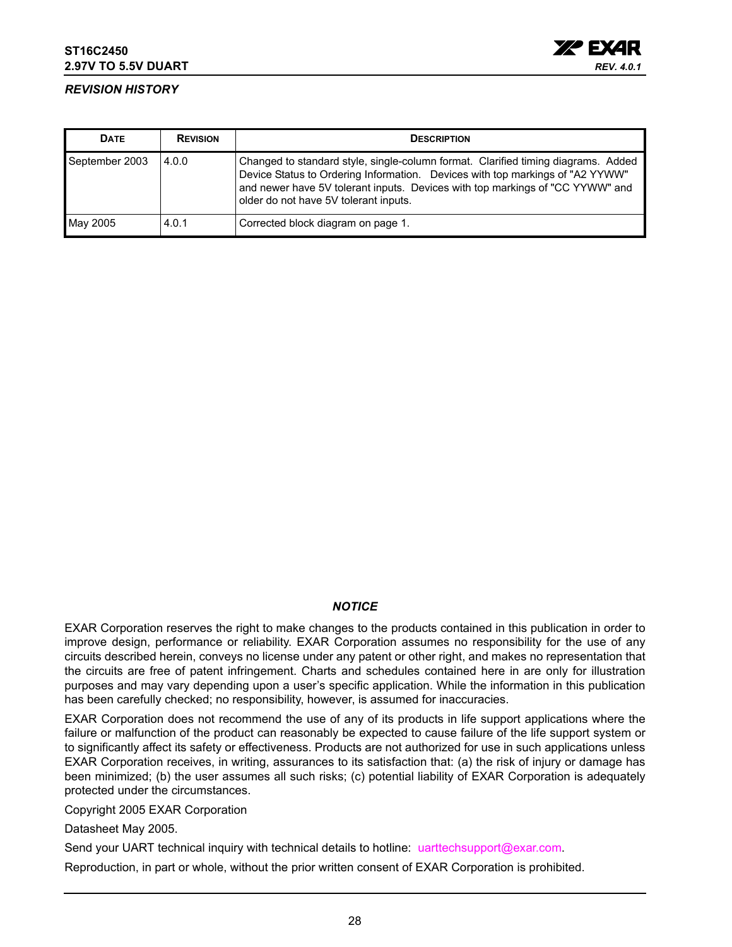

### <span id="page-27-0"></span>*REVISION HISTORY*

| <b>DATE</b>    | <b>REVISION</b> | <b>DESCRIPTION</b>                                                                                                                                                                                                                                                                           |
|----------------|-----------------|----------------------------------------------------------------------------------------------------------------------------------------------------------------------------------------------------------------------------------------------------------------------------------------------|
| September 2003 | 4.0.0           | Changed to standard style, single-column format. Clarified timing diagrams. Added<br>Device Status to Ordering Information. Devices with top markings of "A2 YYWW"<br>and newer have 5V tolerant inputs. Devices with top markings of "CC YYWW" and<br>older do not have 5V tolerant inputs. |
| May 2005       | 4.0.1           | Corrected block diagram on page 1.                                                                                                                                                                                                                                                           |

#### *NOTICE*

EXAR Corporation reserves the right to make changes to the products contained in this publication in order to improve design, performance or reliability. EXAR Corporation assumes no responsibility for the use of any circuits described herein, conveys no license under any patent or other right, and makes no representation that the circuits are free of patent infringement. Charts and schedules contained here in are only for illustration purposes and may vary depending upon a user's specific application. While the information in this publication has been carefully checked; no responsibility, however, is assumed for inaccuracies.

EXAR Corporation does not recommend the use of any of its products in life support applications where the failure or malfunction of the product can reasonably be expected to cause failure of the life support system or to significantly affect its safety or effectiveness. Products are not authorized for use in such applications unless EXAR Corporation receives, in writing, assurances to its satisfaction that: (a) the risk of injury or damage has been minimized; (b) the user assumes all such risks; (c) potential liability of EXAR Corporation is adequately protected under the circumstances.

Copyright 2005 EXAR Corporation

Datasheet May 2005.

Send your UART technical inquiry with technical details to hotline: uarttechsupport@exar.com.

Reproduction, in part or whole, without the prior written consent of EXAR Corporation is prohibited.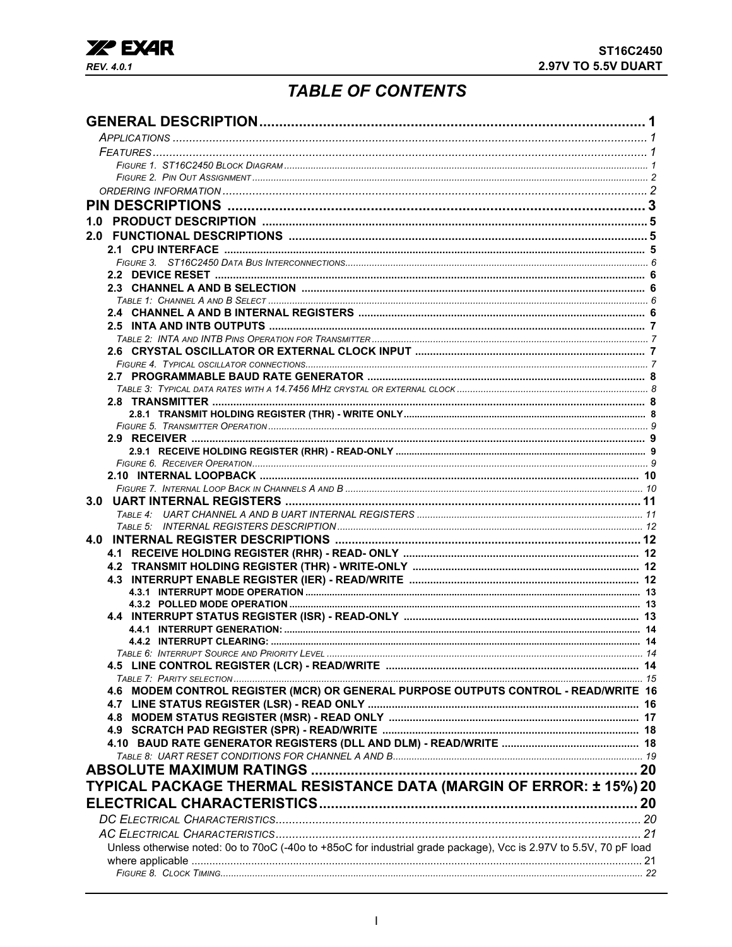

# **TABLE OF CONTENTS**

<span id="page-28-0"></span>

| 1.0                                                                                                               |  |
|-------------------------------------------------------------------------------------------------------------------|--|
|                                                                                                                   |  |
|                                                                                                                   |  |
|                                                                                                                   |  |
|                                                                                                                   |  |
|                                                                                                                   |  |
|                                                                                                                   |  |
|                                                                                                                   |  |
|                                                                                                                   |  |
|                                                                                                                   |  |
|                                                                                                                   |  |
|                                                                                                                   |  |
|                                                                                                                   |  |
|                                                                                                                   |  |
|                                                                                                                   |  |
|                                                                                                                   |  |
|                                                                                                                   |  |
|                                                                                                                   |  |
|                                                                                                                   |  |
|                                                                                                                   |  |
|                                                                                                                   |  |
|                                                                                                                   |  |
|                                                                                                                   |  |
|                                                                                                                   |  |
|                                                                                                                   |  |
|                                                                                                                   |  |
|                                                                                                                   |  |
|                                                                                                                   |  |
|                                                                                                                   |  |
|                                                                                                                   |  |
|                                                                                                                   |  |
|                                                                                                                   |  |
| 4.6 MODEM CONTROL REGISTER (MCR) OR GENERAL PURPOSE OUTPUTS CONTROL - READ/WRITE 16                               |  |
|                                                                                                                   |  |
|                                                                                                                   |  |
|                                                                                                                   |  |
|                                                                                                                   |  |
|                                                                                                                   |  |
|                                                                                                                   |  |
| TYPICAL PACKAGE THERMAL RESISTANCE DATA (MARGIN OF ERROR: ± 15%) 20                                               |  |
|                                                                                                                   |  |
|                                                                                                                   |  |
|                                                                                                                   |  |
| Unless otherwise noted: 0o to 70oC (-40o to +85oC for industrial grade package), Vcc is 2.97V to 5.5V, 70 pF load |  |
|                                                                                                                   |  |
|                                                                                                                   |  |